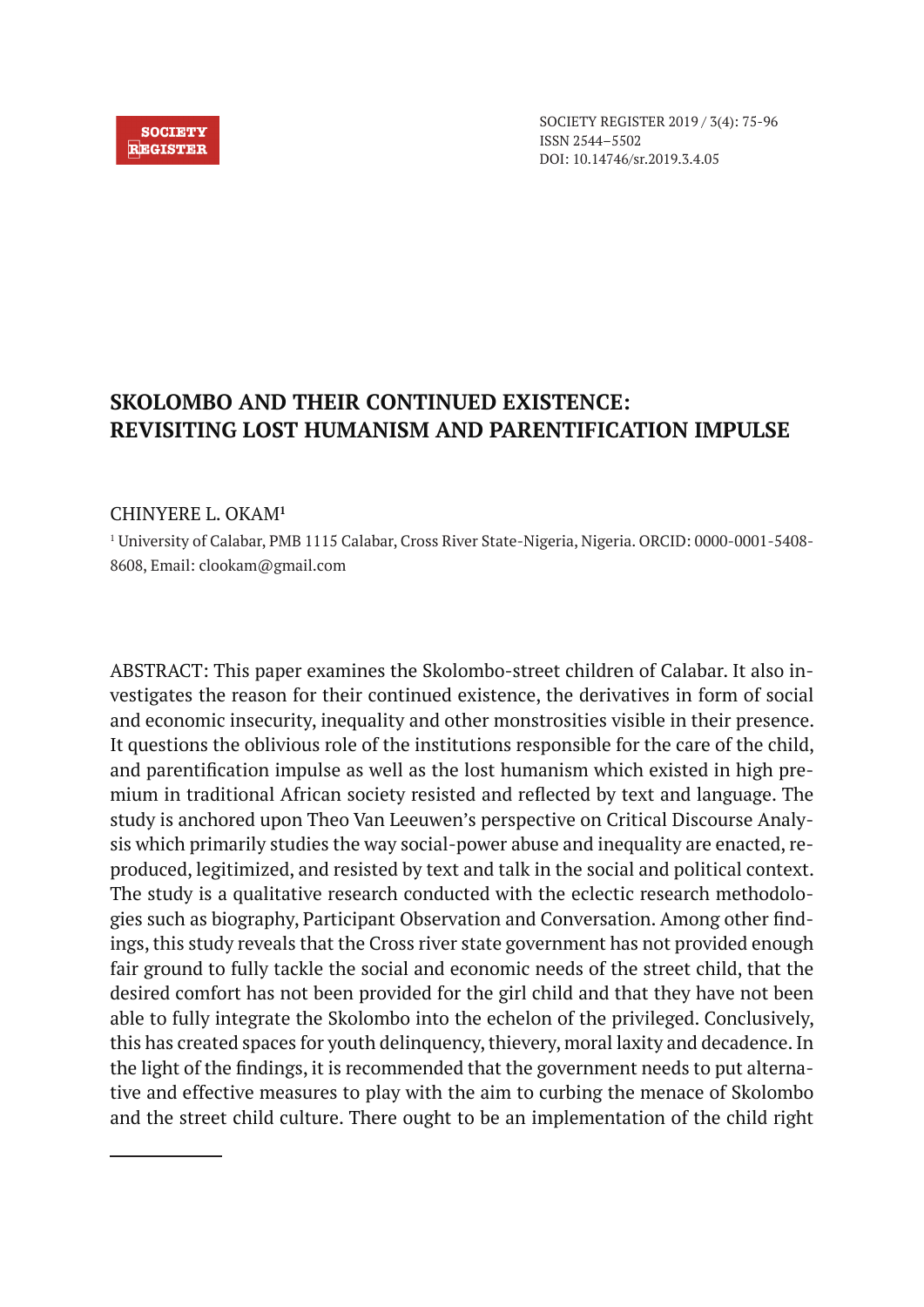#### **SOCIETY REGISTER**

SOCIETY REGISTER 2019 / 3(4): 75-96 ISSN 2544–5502 DOI: 10.14746/sr.2019.3.4.05

# **SKOLOMBO AND THEIR CONTINUED EXISTENCE: REVISITING LOST HUMANISM AND PARENTIFICATION IMPULSE**

### CHINYERE L. OKAM**<sup>1</sup>**

1 University of Calabar, PMB 1115 Calabar, Cross River State-Nigeria, Nigeria. ORCID: 0000-0001-5408- 8608, Email: clookam@gmail.com

ABSTRACT: This paper examines the Skolombo-street children of Calabar. It also investigates the reason for their continued existence, the derivatives in form of social and economic insecurity, inequality and other monstrosities visible in their presence. It questions the oblivious role of the institutions responsible for the care of the child, and parentification impulse as well as the lost humanism which existed in high premium in traditional African society resisted and reflected by text and language. The study is anchored upon Theo Van Leeuwen's perspective on Critical Discourse Analysis which primarily studies the way social-power abuse and inequality are enacted, reproduced, legitimized, and resisted by text and talk in the social and political context. The study is a qualitative research conducted with the eclectic research methodologies such as biography, Participant Observation and Conversation. Among other findings, this study reveals that the Cross river state government has not provided enough fair ground to fully tackle the social and economic needs of the street child, that the desired comfort has not been provided for the girl child and that they have not been able to fully integrate the Skolombo into the echelon of the privileged. Conclusively, this has created spaces for youth delinquency, thievery, moral laxity and decadence. In the light of the findings, it is recommended that the government needs to put alternative and effective measures to play with the aim to curbing the menace of Skolombo and the street child culture. There ought to be an implementation of the child right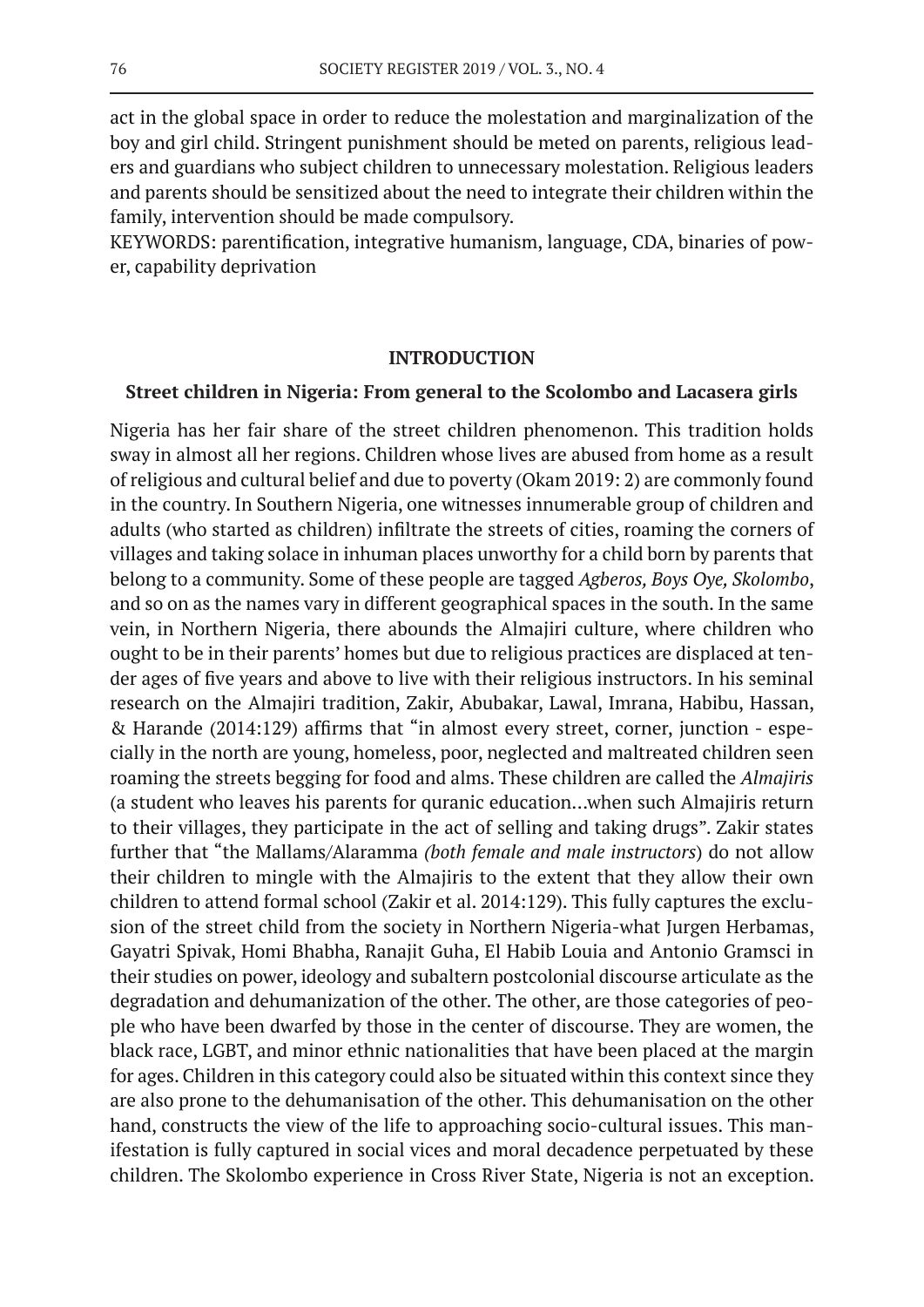act in the global space in order to reduce the molestation and marginalization of the boy and girl child. Stringent punishment should be meted on parents, religious leaders and guardians who subject children to unnecessary molestation. Religious leaders and parents should be sensitized about the need to integrate their children within the family, intervention should be made compulsory.

KEYWORDS: parentification, integrative humanism, language, CDA, binaries of power, capability deprivation

#### **INTRODUCTION**

#### **Street children in Nigeria: From general to the Scolombo and Lacasera girls**

Nigeria has her fair share of the street children phenomenon. This tradition holds sway in almost all her regions. Children whose lives are abused from home as a result of religious and cultural belief and due to poverty (Okam 2019: 2) are commonly found in the country. In Southern Nigeria, one witnesses innumerable group of children and adults (who started as children) infiltrate the streets of cities, roaming the corners of villages and taking solace in inhuman places unworthy for a child born by parents that belong to a community. Some of these people are tagged *Agberos, Boys Oye, Skolombo*, and so on as the names vary in different geographical spaces in the south. In the same vein, in Northern Nigeria, there abounds the Almajiri culture, where children who ought to be in their parents' homes but due to religious practices are displaced at tender ages of five years and above to live with their religious instructors. In his seminal research on the Almajiri tradition, Zakir, Abubakar, Lawal, Imrana, Habibu, Hassan, & Harande (2014:129) affirms that "in almost every street, corner, junction - especially in the north are young, homeless, poor, neglected and maltreated children seen roaming the streets begging for food and alms. These children are called the *Almajiris* (a student who leaves his parents for quranic education…when such Almajiris return to their villages, they participate in the act of selling and taking drugs". Zakir states further that "the Mallams/Alaramma *(both female and male instructors*) do not allow their children to mingle with the Almajiris to the extent that they allow their own children to attend formal school (Zakir et al. 2014:129). This fully captures the exclusion of the street child from the society in Northern Nigeria-what Jurgen Herbamas, Gayatri Spivak, Homi Bhabha, Ranajit Guha, El Habib Louia and Antonio Gramsci in their studies on power, ideology and subaltern postcolonial discourse articulate as the degradation and dehumanization of the other. The other, are those categories of people who have been dwarfed by those in the center of discourse. They are women, the black race, LGBT, and minor ethnic nationalities that have been placed at the margin for ages. Children in this category could also be situated within this context since they are also prone to the dehumanisation of the other. This dehumanisation on the other hand, constructs the view of the life to approaching socio-cultural issues. This manifestation is fully captured in social vices and moral decadence perpetuated by these children. The Skolombo experience in Cross River State, Nigeria is not an exception.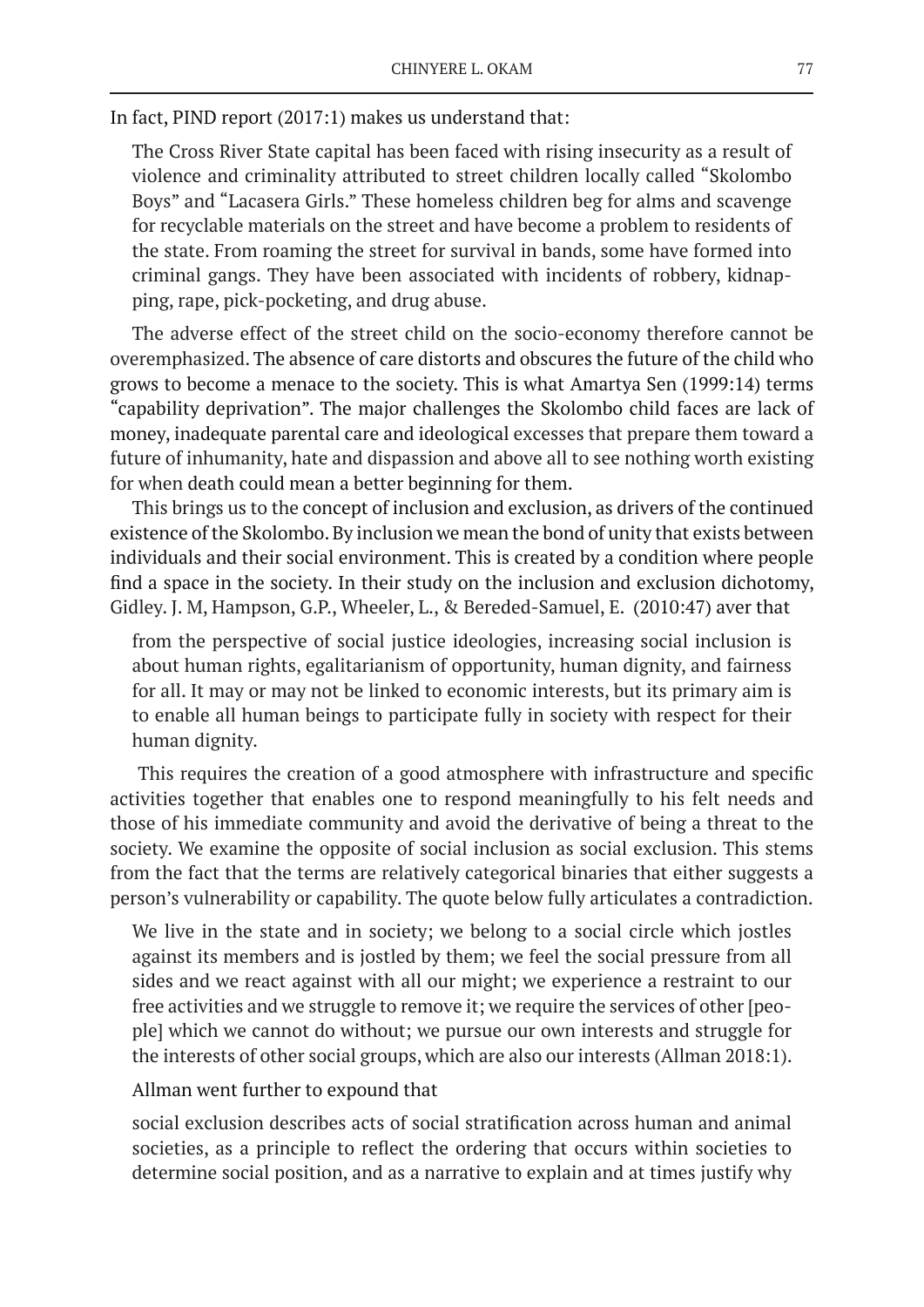In fact, PIND report (2017:1) makes us understand that:

The Cross River State capital has been faced with rising insecurity as a result of violence and criminality attributed to street children locally called "Skolombo Boys" and "Lacasera Girls." These homeless children beg for alms and scavenge for recyclable materials on the street and have become a problem to residents of the state. From roaming the street for survival in bands, some have formed into criminal gangs. They have been associated with incidents of robbery, kidnapping, rape, pick-pocketing, and drug abuse.

The adverse effect of the street child on the socio-economy therefore cannot be overemphasized. The absence of care distorts and obscures the future of the child who grows to become a menace to the society. This is what Amartya Sen (1999:14) terms "capability deprivation". The major challenges the Skolombo child faces are lack of money, inadequate parental care and ideological excesses that prepare them toward a future of inhumanity, hate and dispassion and above all to see nothing worth existing for when death could mean a better beginning for them.

This brings us to the concept of inclusion and exclusion, as drivers of the continued existence of the Skolombo. By inclusion we mean the bond of unity that exists between individuals and their social environment. This is created by a condition where people find a space in the society. In their study on the inclusion and exclusion dichotomy, Gidley. J. M, Hampson, G.P., Wheeler, L., & Bereded-Samuel, E. (2010:47) aver that

from the perspective of social justice ideologies, increasing social inclusion is about human rights, egalitarianism of opportunity, human dignity, and fairness for all. It may or may not be linked to economic interests, but its primary aim is to enable all human beings to participate fully in society with respect for their human dignity.

 This requires the creation of a good atmosphere with infrastructure and specific activities together that enables one to respond meaningfully to his felt needs and those of his immediate community and avoid the derivative of being a threat to the society. We examine the opposite of social inclusion as social exclusion. This stems from the fact that the terms are relatively categorical binaries that either suggests a person's vulnerability or capability. The quote below fully articulates a contradiction.

We live in the state and in society; we belong to a social circle which jostles against its members and is jostled by them; we feel the social pressure from all sides and we react against with all our might; we experience a restraint to our free activities and we struggle to remove it; we require the services of other [people] which we cannot do without; we pursue our own interests and struggle for the interests of other social groups, which are also our interests (Allman 2018:1).

### Allman went further to expound that

social exclusion describes acts of social stratification across human and animal societies, as a principle to reflect the ordering that occurs within societies to determine social position, and as a narrative to explain and at times justify why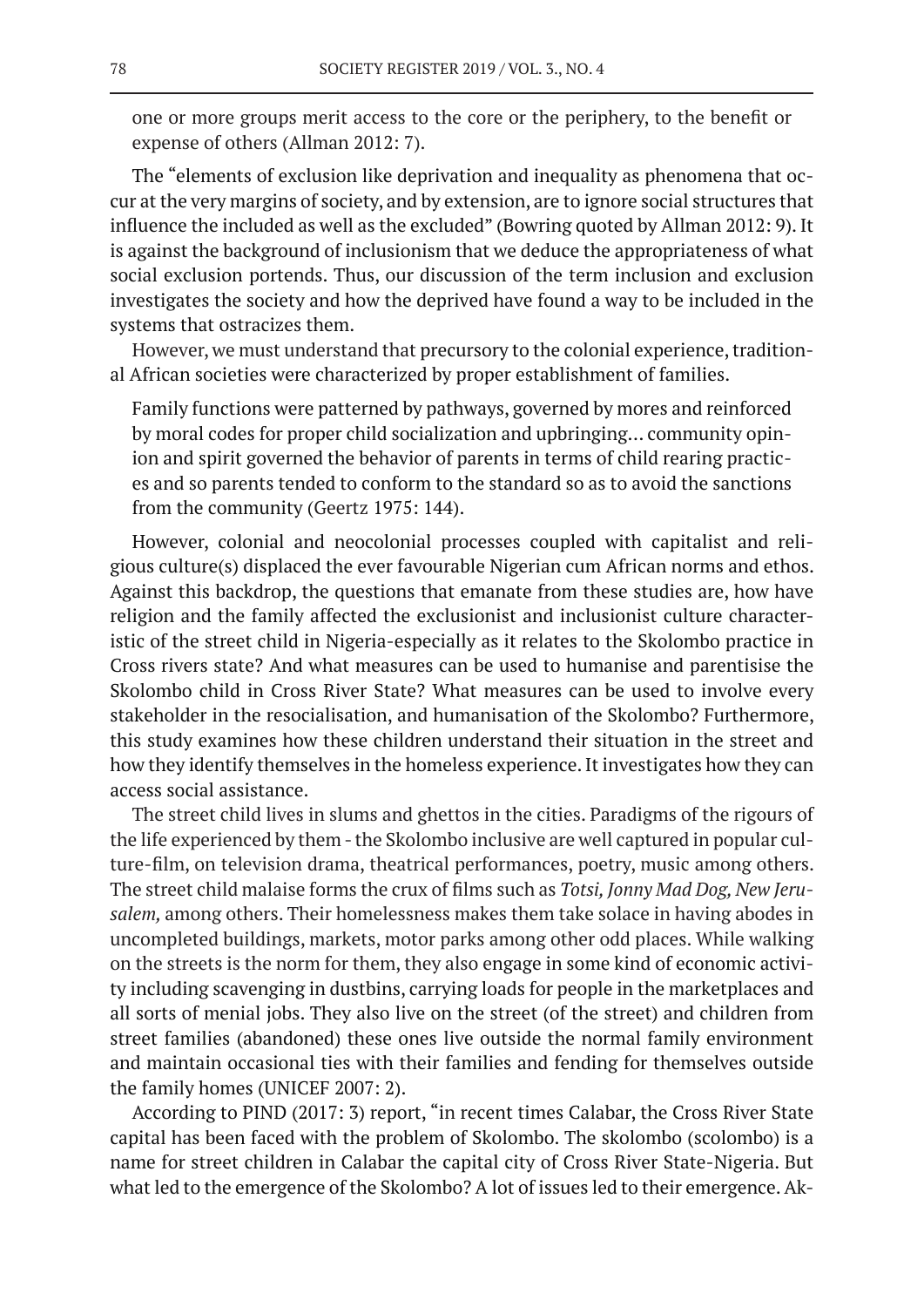one or more groups merit access to the core or the periphery, to the benefit or expense of others (Allman 2012: 7).

The "elements of exclusion like deprivation and inequality as phenomena that occur at the very margins of society, and by extension, are to ignore social structures that influence the included as well as the excluded" (Bowring quoted by Allman 2012: 9). It is against the background of inclusionism that we deduce the appropriateness of what social exclusion portends. Thus, our discussion of the term inclusion and exclusion investigates the society and how the deprived have found a way to be included in the systems that ostracizes them.

However, we must understand that precursory to the colonial experience, traditional African societies were characterized by proper establishment of families.

Family functions were patterned by pathways, governed by mores and reinforced by moral codes for proper child socialization and upbringing… community opinion and spirit governed the behavior of parents in terms of child rearing practices and so parents tended to conform to the standard so as to avoid the sanctions from the community (Geertz 1975: 144).

However, colonial and neocolonial processes coupled with capitalist and religious culture(s) displaced the ever favourable Nigerian cum African norms and ethos. Against this backdrop, the questions that emanate from these studies are, how have religion and the family affected the exclusionist and inclusionist culture characteristic of the street child in Nigeria-especially as it relates to the Skolombo practice in Cross rivers state? And what measures can be used to humanise and parentisise the Skolombo child in Cross River State? What measures can be used to involve every stakeholder in the resocialisation, and humanisation of the Skolombo? Furthermore, this study examines how these children understand their situation in the street and how they identify themselves in the homeless experience. It investigates how they can access social assistance.

The street child lives in slums and ghettos in the cities. Paradigms of the rigours of the life experienced by them - the Skolombo inclusive are well captured in popular culture-film, on television drama, theatrical performances, poetry, music among others. The street child malaise forms the crux of films such as *Totsi, Jonny Mad Dog, New Jerusalem,* among others. Their homelessness makes them take solace in having abodes in uncompleted buildings, markets, motor parks among other odd places. While walking on the streets is the norm for them, they also engage in some kind of economic activity including scavenging in dustbins, carrying loads for people in the marketplaces and all sorts of menial jobs. They also live on the street (of the street) and children from street families (abandoned) these ones live outside the normal family environment and maintain occasional ties with their families and fending for themselves outside the family homes (UNICEF 2007: 2).

According to PIND (2017: 3) report, "in recent times Calabar, the Cross River State capital has been faced with the problem of Skolombo. The skolombo (scolombo) is a name for street children in Calabar the capital city of Cross River State-Nigeria. But what led to the emergence of the Skolombo? A lot of issues led to their emergence. Ak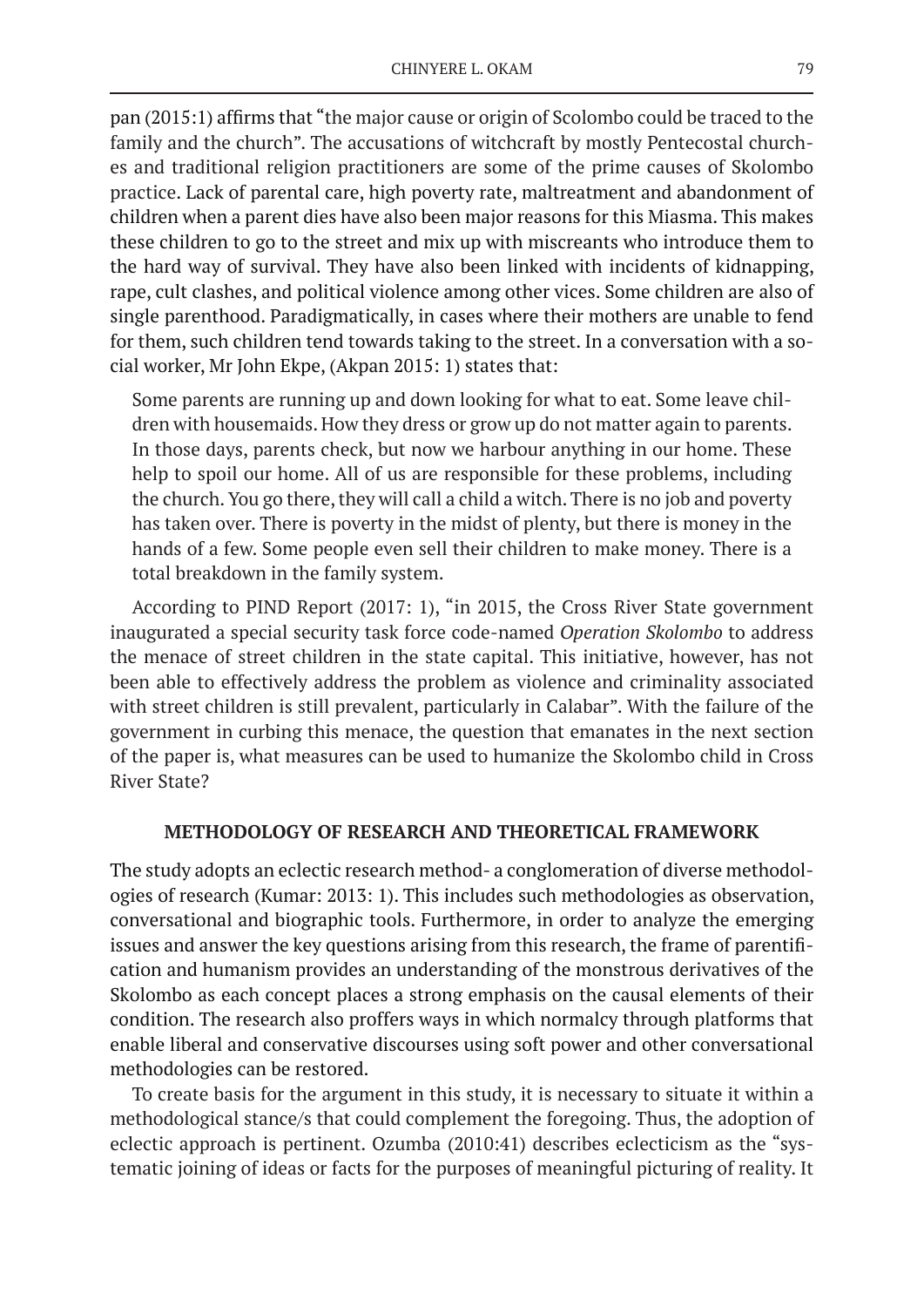pan (2015:1) affirms that "the major cause or origin of Scolombo could be traced to the family and the church". The accusations of witchcraft by mostly Pentecostal churches and traditional religion practitioners are some of the prime causes of Skolombo practice. Lack of parental care, high poverty rate, maltreatment and abandonment of children when a parent dies have also been major reasons for this Miasma. This makes these children to go to the street and mix up with miscreants who introduce them to the hard way of survival. They have also been linked with incidents of kidnapping, rape, cult clashes, and political violence among other vices. Some children are also of single parenthood. Paradigmatically, in cases where their mothers are unable to fend for them, such children tend towards taking to the street. In a conversation with a social worker, Mr John Ekpe, (Akpan 2015: 1) states that:

Some parents are running up and down looking for what to eat. Some leave children with housemaids. How they dress or grow up do not matter again to parents. In those days, parents check, but now we harbour anything in our home. These help to spoil our home. All of us are responsible for these problems, including the church. You go there, they will call a child a witch. There is no job and poverty has taken over. There is poverty in the midst of plenty, but there is money in the hands of a few. Some people even sell their children to make money. There is a total breakdown in the family system.

According to PIND Report (2017: 1), "in 2015, the Cross River State government inaugurated a special security task force code-named *Operation Skolombo* to address the menace of street children in the state capital. This initiative, however, has not been able to effectively address the problem as violence and criminality associated with street children is still prevalent, particularly in Calabar". With the failure of the government in curbing this menace, the question that emanates in the next section of the paper is, what measures can be used to humanize the Skolombo child in Cross River State?

# **METHODOLOGY OF RESEARCH AND THEORETICAL FRAMEWORK**

The study adopts an eclectic research method- a conglomeration of diverse methodologies of research (Kumar: 2013: 1). This includes such methodologies as observation, conversational and biographic tools. Furthermore, in order to analyze the emerging issues and answer the key questions arising from this research, the frame of parentification and humanism provides an understanding of the monstrous derivatives of the Skolombo as each concept places a strong emphasis on the causal elements of their condition. The research also proffers ways in which normalcy through platforms that enable liberal and conservative discourses using soft power and other conversational methodologies can be restored.

To create basis for the argument in this study, it is necessary to situate it within a methodological stance/s that could complement the foregoing. Thus, the adoption of eclectic approach is pertinent. Ozumba (2010:41) describes eclecticism as the "systematic joining of ideas or facts for the purposes of meaningful picturing of reality. It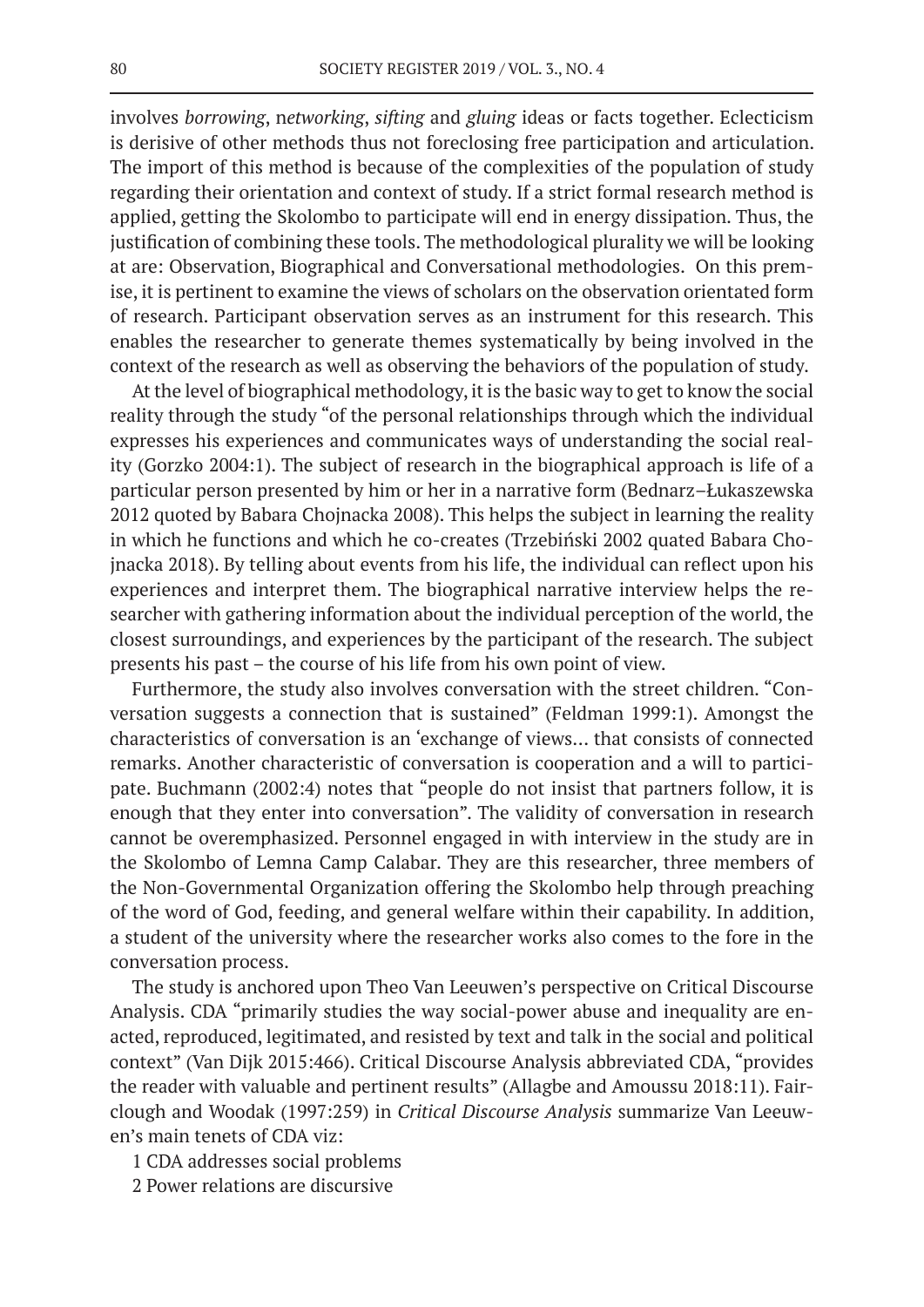involves *borrowing*, n*etworking*, *sifting* and *gluing* ideas or facts together. Eclecticism is derisive of other methods thus not foreclosing free participation and articulation. The import of this method is because of the complexities of the population of study regarding their orientation and context of study. If a strict formal research method is applied, getting the Skolombo to participate will end in energy dissipation. Thus, the justification of combining these tools. The methodological plurality we will be looking at are: Observation, Biographical and Conversational methodologies. On this premise, it is pertinent to examine the views of scholars on the observation orientated form of research. Participant observation serves as an instrument for this research. This enables the researcher to generate themes systematically by being involved in the context of the research as well as observing the behaviors of the population of study.

At the level of biographical methodology, it is the basic way to get to know the social reality through the study "of the personal relationships through which the individual expresses his experiences and communicates ways of understanding the social reality (Gorzko 2004:1). The subject of research in the biographical approach is life of a particular person presented by him or her in a narrative form (Bednarz–Łukaszewska 2012 quoted by Babara Chojnacka 2008). This helps the subject in learning the reality in which he functions and which he co-creates (Trzebiński 2002 quated Babara Chojnacka 2018). By telling about events from his life, the individual can reflect upon his experiences and interpret them. The biographical narrative interview helps the researcher with gathering information about the individual perception of the world, the closest surroundings, and experiences by the participant of the research. The subject presents his past – the course of his life from his own point of view.

Furthermore, the study also involves conversation with the street children. "Conversation suggests a connection that is sustained" (Feldman 1999:1). Amongst the characteristics of conversation is an 'exchange of views… that consists of connected remarks. Another characteristic of conversation is cooperation and a will to participate. Buchmann (2002:4) notes that "people do not insist that partners follow, it is enough that they enter into conversation". The validity of conversation in research cannot be overemphasized. Personnel engaged in with interview in the study are in the Skolombo of Lemna Camp Calabar. They are this researcher, three members of the Non-Governmental Organization offering the Skolombo help through preaching of the word of God, feeding, and general welfare within their capability. In addition, a student of the university where the researcher works also comes to the fore in the conversation process.

The study is anchored upon Theo Van Leeuwen's perspective on Critical Discourse Analysis. CDA "primarily studies the way social-power abuse and inequality are enacted, reproduced, legitimated, and resisted by text and talk in the social and political context" (Van Dijk 2015:466). Critical Discourse Analysis abbreviated CDA, "provides the reader with valuable and pertinent results" (Allagbe and Amoussu 2018:11). Fairclough and Woodak (1997:259) in *Critical Discourse Analysis* summarize Van Leeuwen's main tenets of CDA viz:

1 CDA addresses social problems

2 Power relations are discursive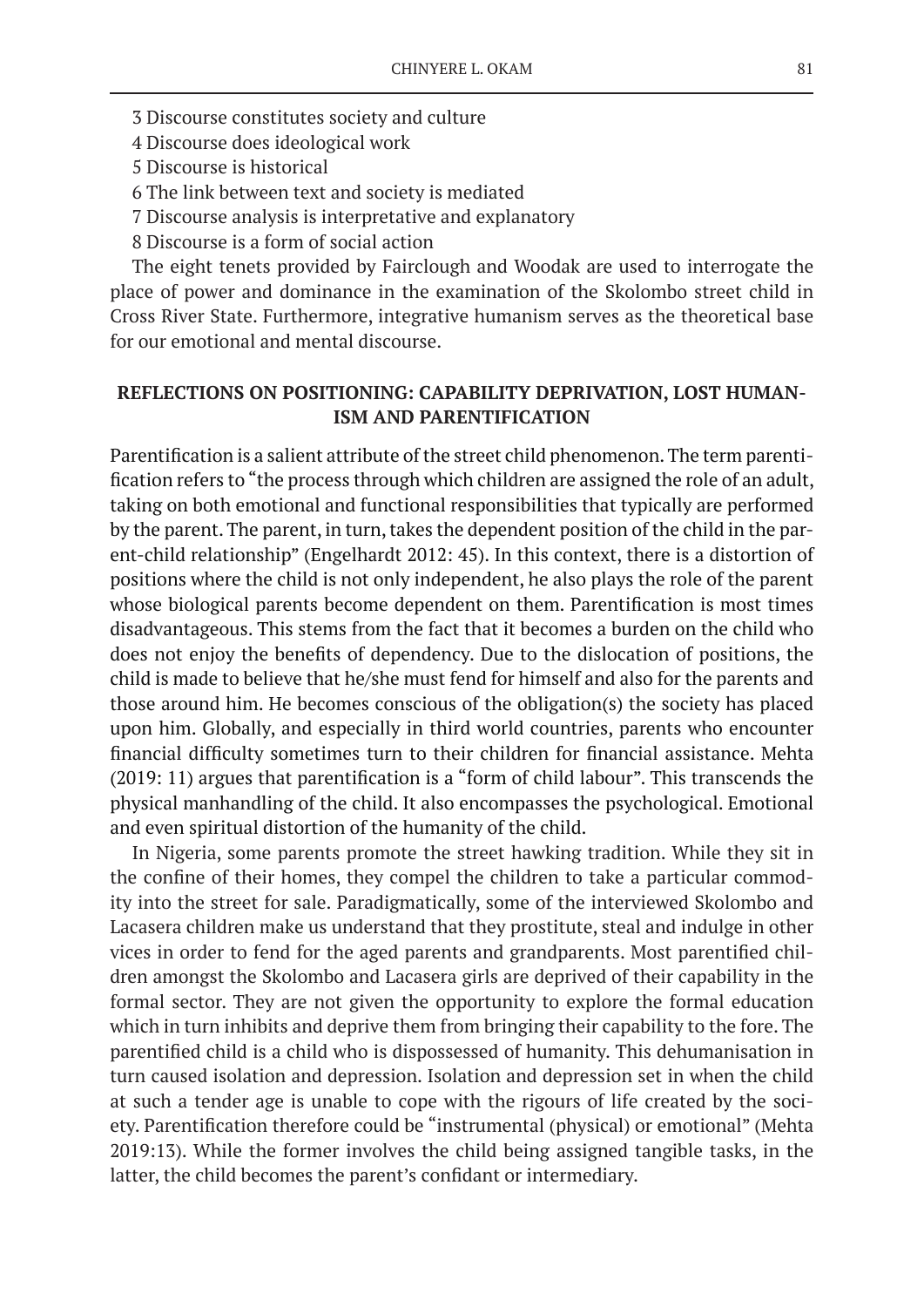- 3 Discourse constitutes society and culture
- 4 Discourse does ideological work
- 5 Discourse is historical
- 6 The link between text and society is mediated
- 7 Discourse analysis is interpretative and explanatory
- 8 Discourse is a form of social action

The eight tenets provided by Fairclough and Woodak are used to interrogate the place of power and dominance in the examination of the Skolombo street child in Cross River State. Furthermore, integrative humanism serves as the theoretical base for our emotional and mental discourse.

# **REFLECTIONS ON POSITIONING: CAPABILITY DEPRIVATION, LOST HUMAN-ISM AND PARENTIFICATION**

Parentification is a salient attribute of the street child phenomenon. The term parentification refers to "the process through which children are assigned the role of an adult, taking on both emotional and functional responsibilities that typically are performed by the parent. The parent, in turn, takes the dependent position of the child in the parent-child relationship" (Engelhardt 2012: 45). In this context, there is a distortion of positions where the child is not only independent, he also plays the role of the parent whose biological parents become dependent on them. Parentification is most times disadvantageous. This stems from the fact that it becomes a burden on the child who does not enjoy the benefits of dependency. Due to the dislocation of positions, the child is made to believe that he/she must fend for himself and also for the parents and those around him. He becomes conscious of the obligation(s) the society has placed upon him. Globally, and especially in third world countries, parents who encounter financial difficulty sometimes turn to their children for financial assistance. Mehta (2019: 11) argues that parentification is a "form of child labour". This transcends the physical manhandling of the child. It also encompasses the psychological. Emotional and even spiritual distortion of the humanity of the child.

In Nigeria, some parents promote the street hawking tradition. While they sit in the confine of their homes, they compel the children to take a particular commodity into the street for sale. Paradigmatically, some of the interviewed Skolombo and Lacasera children make us understand that they prostitute, steal and indulge in other vices in order to fend for the aged parents and grandparents. Most parentified children amongst the Skolombo and Lacasera girls are deprived of their capability in the formal sector. They are not given the opportunity to explore the formal education which in turn inhibits and deprive them from bringing their capability to the fore. The parentified child is a child who is dispossessed of humanity. This dehumanisation in turn caused isolation and depression. Isolation and depression set in when the child at such a tender age is unable to cope with the rigours of life created by the society. Parentification therefore could be "instrumental (physical) or emotional" (Mehta 2019:13). While the former involves the child being assigned tangible tasks, in the latter, the child becomes the parent's confidant or intermediary.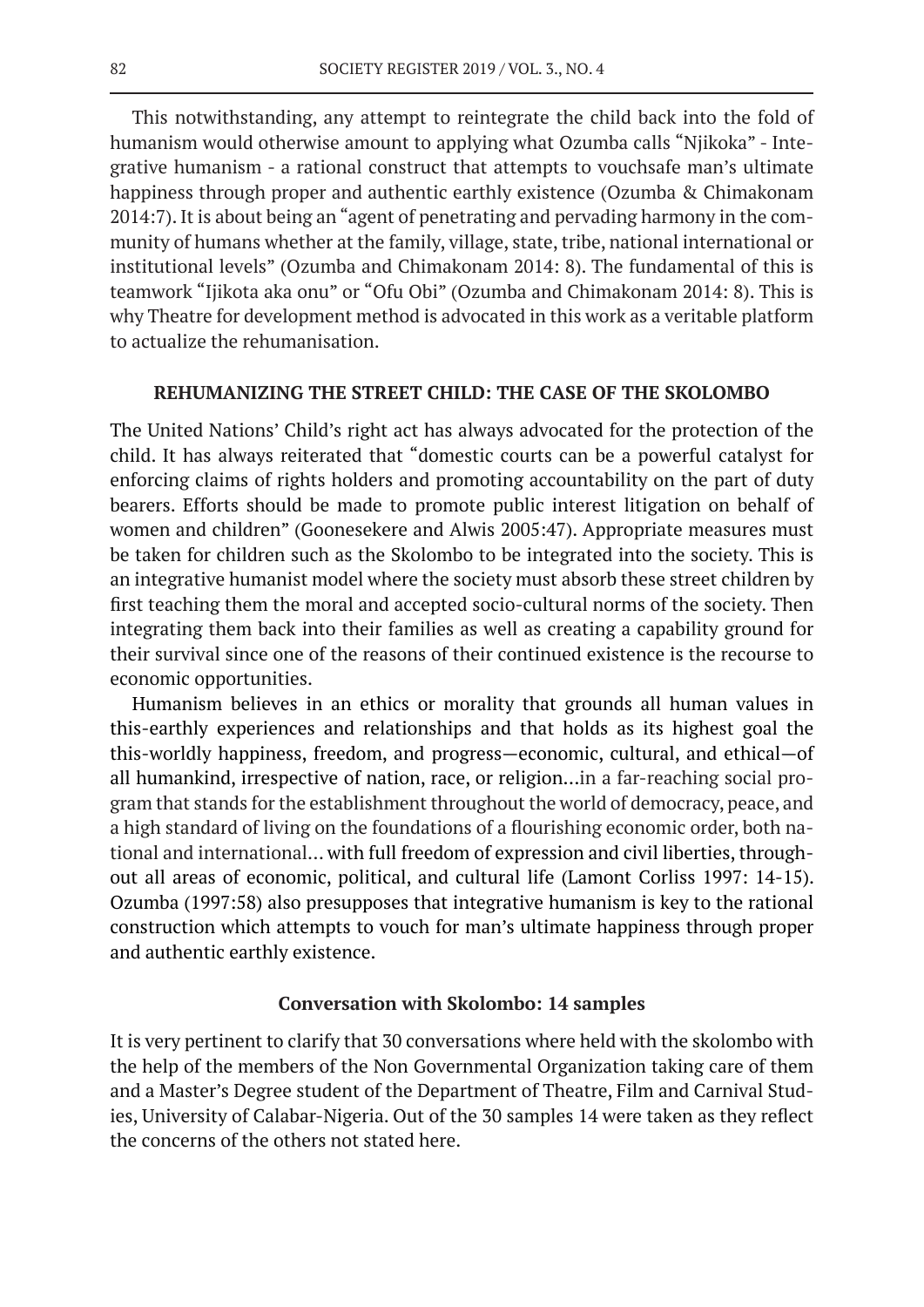This notwithstanding, any attempt to reintegrate the child back into the fold of humanism would otherwise amount to applying what Ozumba calls "Njikoka" - Integrative humanism - a rational construct that attempts to vouchsafe man's ultimate happiness through proper and authentic earthly existence (Ozumba & Chimakonam 2014:7). It is about being an "agent of penetrating and pervading harmony in the community of humans whether at the family, village, state, tribe, national international or institutional levels" (Ozumba and Chimakonam 2014: 8). The fundamental of this is teamwork "Ijikota aka onu" or "Ofu Obi" (Ozumba and Chimakonam 2014: 8). This is why Theatre for development method is advocated in this work as a veritable platform to actualize the rehumanisation.

#### **REHUMANIZING THE STREET CHILD: THE CASE OF THE SKOLOMBO**

The United Nations' Child's right act has always advocated for the protection of the child. It has always reiterated that "domestic courts can be a powerful catalyst for enforcing claims of rights holders and promoting accountability on the part of duty bearers. Efforts should be made to promote public interest litigation on behalf of women and children" (Goonesekere and Alwis 2005:47). Appropriate measures must be taken for children such as the Skolombo to be integrated into the society. This is an integrative humanist model where the society must absorb these street children by first teaching them the moral and accepted socio-cultural norms of the society. Then integrating them back into their families as well as creating a capability ground for their survival since one of the reasons of their continued existence is the recourse to economic opportunities.

Humanism believes in an ethics or morality that grounds all human values in this-earthly experiences and relationships and that holds as its highest goal the this-worldly happiness, freedom, and progress—economic, cultural, and ethical—of all humankind, irrespective of nation, race, or religion…in a far-reaching social program that stands for the establishment throughout the world of democracy, peace, and a high standard of living on the foundations of a flourishing economic order, both national and international… with full freedom of expression and civil liberties, throughout all areas of economic, political, and cultural life (Lamont Corliss 1997: 14-15). Ozumba (1997:58) also presupposes that integrative humanism is key to the rational construction which attempts to vouch for man's ultimate happiness through proper and authentic earthly existence.

### **Conversation with Skolombo: 14 samples**

It is very pertinent to clarify that 30 conversations where held with the skolombo with the help of the members of the Non Governmental Organization taking care of them and a Master's Degree student of the Department of Theatre, Film and Carnival Studies, University of Calabar-Nigeria. Out of the 30 samples 14 were taken as they reflect the concerns of the others not stated here.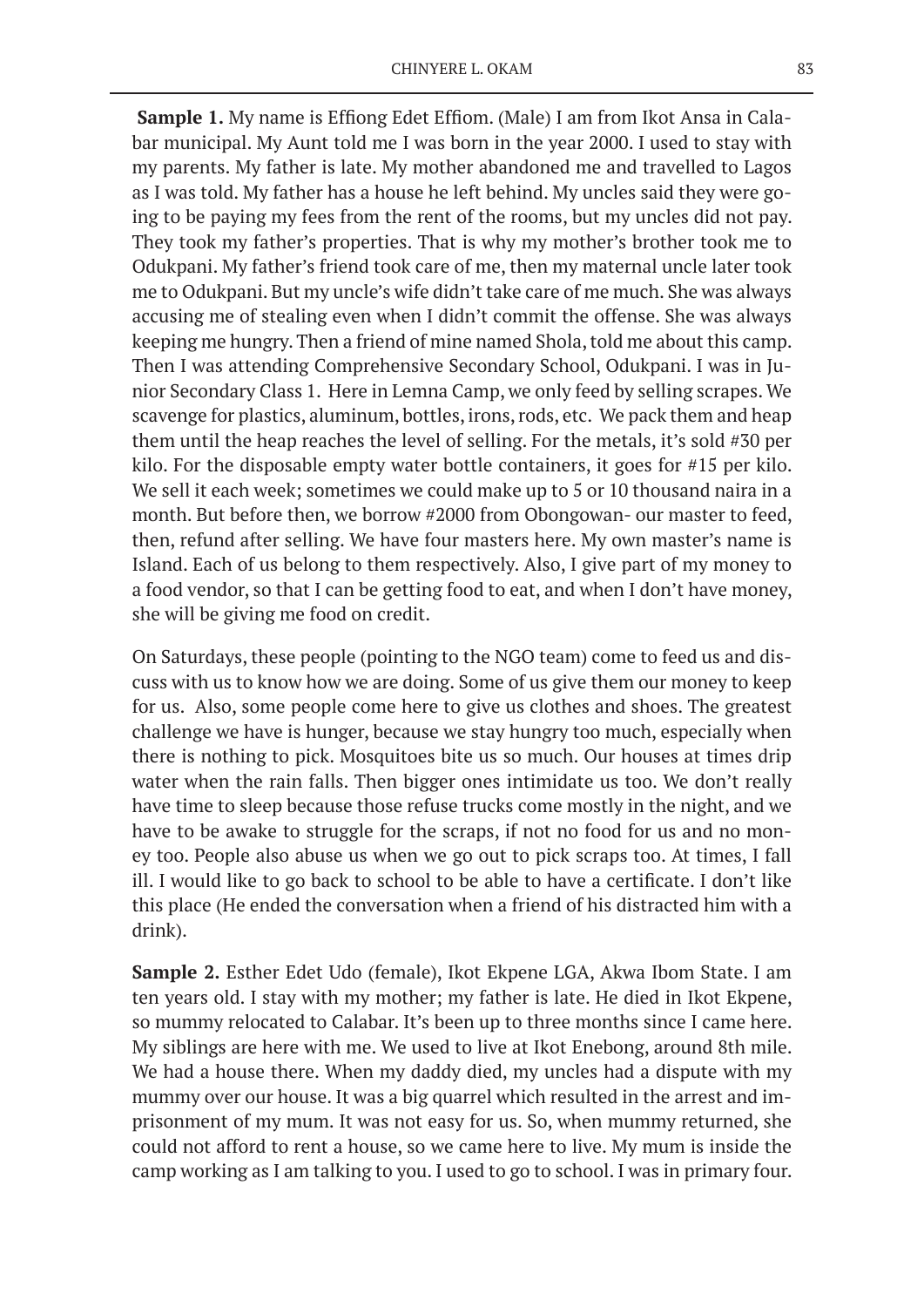**Sample 1.** My name is Effiong Edet Effiom. (Male) I am from Ikot Ansa in Calabar municipal. My Aunt told me I was born in the year 2000. I used to stay with my parents. My father is late. My mother abandoned me and travelled to Lagos as I was told. My father has a house he left behind. My uncles said they were going to be paying my fees from the rent of the rooms, but my uncles did not pay. They took my father's properties. That is why my mother's brother took me to Odukpani. My father's friend took care of me, then my maternal uncle later took me to Odukpani. But my uncle's wife didn't take care of me much. She was always accusing me of stealing even when I didn't commit the offense. She was always keeping me hungry. Then a friend of mine named Shola, told me about this camp. Then I was attending Comprehensive Secondary School, Odukpani. I was in Junior Secondary Class 1. Here in Lemna Camp, we only feed by selling scrapes. We scavenge for plastics, aluminum, bottles, irons, rods, etc. We pack them and heap them until the heap reaches the level of selling. For the metals, it's sold #30 per kilo. For the disposable empty water bottle containers, it goes for #15 per kilo. We sell it each week; sometimes we could make up to 5 or 10 thousand naira in a month. But before then, we borrow #2000 from Obongowan- our master to feed, then, refund after selling. We have four masters here. My own master's name is Island. Each of us belong to them respectively. Also, I give part of my money to a food vendor, so that I can be getting food to eat, and when I don't have money, she will be giving me food on credit.

On Saturdays, these people (pointing to the NGO team) come to feed us and discuss with us to know how we are doing. Some of us give them our money to keep for us. Also, some people come here to give us clothes and shoes. The greatest challenge we have is hunger, because we stay hungry too much, especially when there is nothing to pick. Mosquitoes bite us so much. Our houses at times drip water when the rain falls. Then bigger ones intimidate us too. We don't really have time to sleep because those refuse trucks come mostly in the night, and we have to be awake to struggle for the scraps, if not no food for us and no money too. People also abuse us when we go out to pick scraps too. At times, I fall ill. I would like to go back to school to be able to have a certificate. I don't like this place (He ended the conversation when a friend of his distracted him with a drink).

**Sample 2.** Esther Edet Udo (female), Ikot Ekpene LGA, Akwa Ibom State. I am ten years old. I stay with my mother; my father is late. He died in Ikot Ekpene, so mummy relocated to Calabar. It's been up to three months since I came here. My siblings are here with me. We used to live at Ikot Enebong, around 8th mile. We had a house there. When my daddy died, my uncles had a dispute with my mummy over our house. It was a big quarrel which resulted in the arrest and imprisonment of my mum. It was not easy for us. So, when mummy returned, she could not afford to rent a house, so we came here to live. My mum is inside the camp working as I am talking to you. I used to go to school. I was in primary four.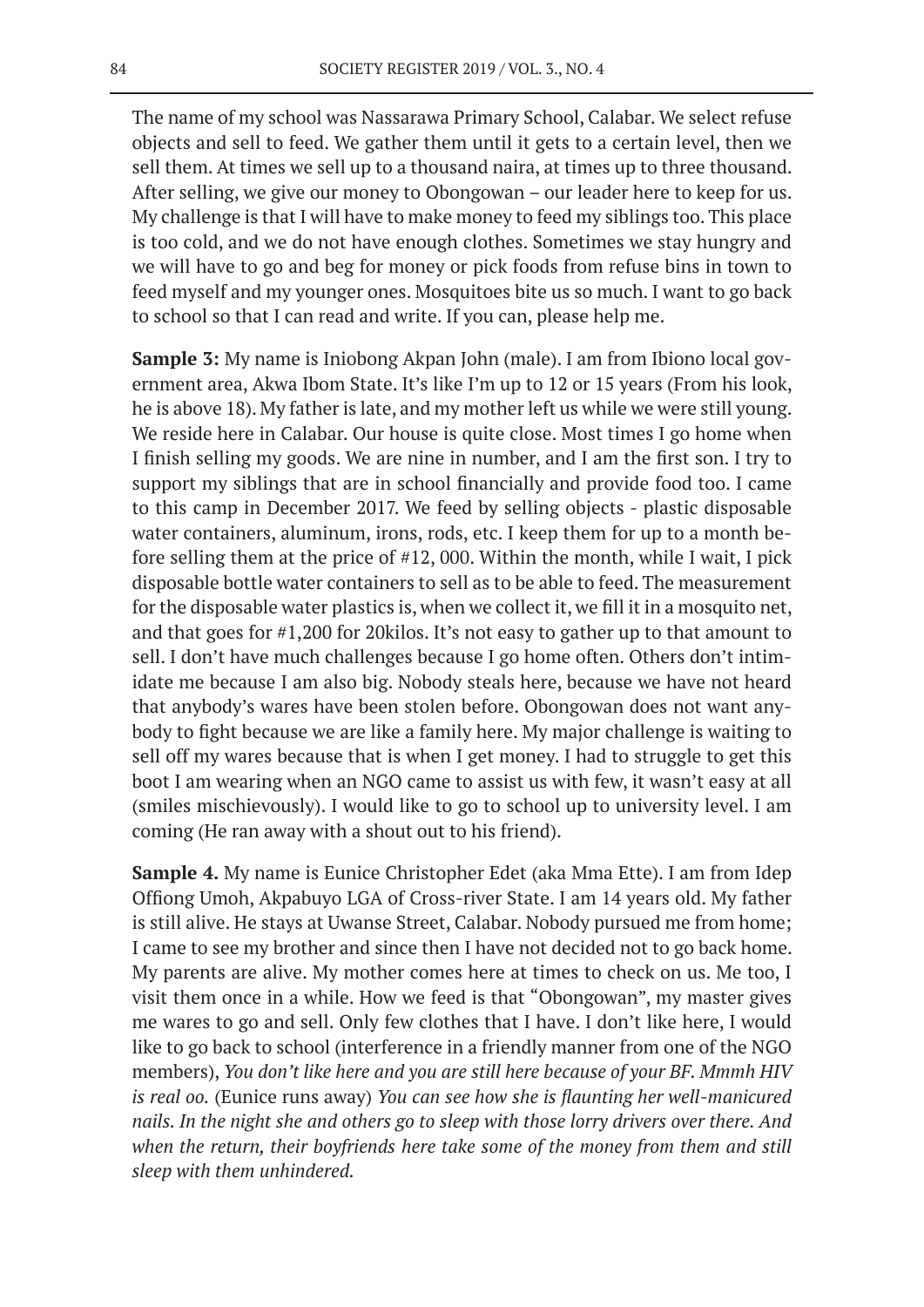The name of my school was Nassarawa Primary School, Calabar. We select refuse objects and sell to feed. We gather them until it gets to a certain level, then we sell them. At times we sell up to a thousand naira, at times up to three thousand. After selling, we give our money to Obongowan – our leader here to keep for us. My challenge is that I will have to make money to feed my siblings too. This place is too cold, and we do not have enough clothes. Sometimes we stay hungry and we will have to go and beg for money or pick foods from refuse bins in town to feed myself and my younger ones. Mosquitoes bite us so much. I want to go back to school so that I can read and write. If you can, please help me.

**Sample 3:** My name is Iniobong Akpan John (male). I am from Ibiono local government area, Akwa Ibom State. It's like I'm up to 12 or 15 years (From his look, he is above 18). My father is late, and my mother left us while we were still young. We reside here in Calabar. Our house is quite close. Most times I go home when I finish selling my goods. We are nine in number, and I am the first son. I try to support my siblings that are in school financially and provide food too. I came to this camp in December 2017. We feed by selling objects - plastic disposable water containers, aluminum, irons, rods, etc. I keep them for up to a month before selling them at the price of #12, 000. Within the month, while I wait, I pick disposable bottle water containers to sell as to be able to feed. The measurement for the disposable water plastics is, when we collect it, we fill it in a mosquito net, and that goes for #1,200 for 20kilos. It's not easy to gather up to that amount to sell. I don't have much challenges because I go home often. Others don't intimidate me because I am also big. Nobody steals here, because we have not heard that anybody's wares have been stolen before. Obongowan does not want anybody to fight because we are like a family here. My major challenge is waiting to sell off my wares because that is when I get money. I had to struggle to get this boot I am wearing when an NGO came to assist us with few, it wasn't easy at all (smiles mischievously). I would like to go to school up to university level. I am coming (He ran away with a shout out to his friend).

**Sample 4.** My name is Eunice Christopher Edet (aka Mma Ette). I am from Idep Offiong Umoh, Akpabuyo LGA of Cross-river State. I am 14 years old. My father is still alive. He stays at Uwanse Street, Calabar. Nobody pursued me from home; I came to see my brother and since then I have not decided not to go back home. My parents are alive. My mother comes here at times to check on us. Me too, I visit them once in a while. How we feed is that "Obongowan", my master gives me wares to go and sell. Only few clothes that I have. I don't like here, I would like to go back to school (interference in a friendly manner from one of the NGO members), *You don't like here and you are still here because of your BF. Mmmh HIV is real oo.* (Eunice runs away) *You can see how she is flaunting her well-manicured nails. In the night she and others go to sleep with those lorry drivers over there. And when the return, their boyfriends here take some of the money from them and still sleep with them unhindered.*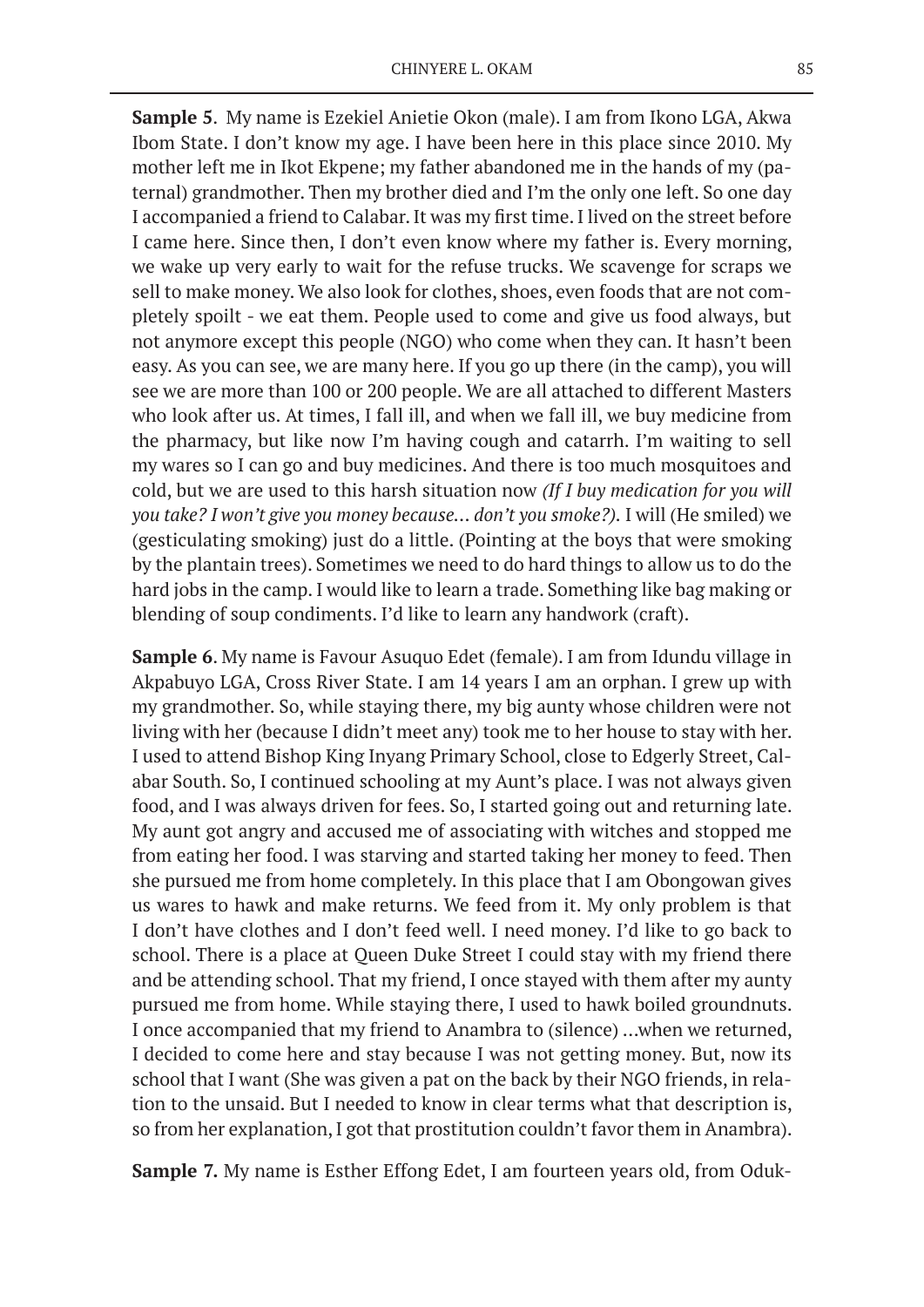**Sample 5**. My name is Ezekiel Anietie Okon (male). I am from Ikono LGA, Akwa Ibom State. I don't know my age. I have been here in this place since 2010. My mother left me in Ikot Ekpene; my father abandoned me in the hands of my (paternal) grandmother. Then my brother died and I'm the only one left. So one day I accompanied a friend to Calabar. It was my first time. I lived on the street before I came here. Since then, I don't even know where my father is. Every morning, we wake up very early to wait for the refuse trucks. We scavenge for scraps we sell to make money. We also look for clothes, shoes, even foods that are not completely spoilt - we eat them. People used to come and give us food always, but not anymore except this people (NGO) who come when they can. It hasn't been easy. As you can see, we are many here. If you go up there (in the camp), you will see we are more than 100 or 200 people. We are all attached to different Masters who look after us. At times, I fall ill, and when we fall ill, we buy medicine from the pharmacy, but like now I'm having cough and catarrh. I'm waiting to sell my wares so I can go and buy medicines. And there is too much mosquitoes and cold, but we are used to this harsh situation now *(If I buy medication for you will you take? I won't give you money because… don't you smoke?).* I will (He smiled) we (gesticulating smoking) just do a little. (Pointing at the boys that were smoking by the plantain trees). Sometimes we need to do hard things to allow us to do the hard jobs in the camp. I would like to learn a trade. Something like bag making or blending of soup condiments. I'd like to learn any handwork (craft).

**Sample 6**. My name is Favour Asuquo Edet (female). I am from Idundu village in Akpabuyo LGA, Cross River State. I am 14 years I am an orphan. I grew up with my grandmother. So, while staying there, my big aunty whose children were not living with her (because I didn't meet any) took me to her house to stay with her. I used to attend Bishop King Inyang Primary School, close to Edgerly Street, Calabar South. So, I continued schooling at my Aunt's place. I was not always given food, and I was always driven for fees. So, I started going out and returning late. My aunt got angry and accused me of associating with witches and stopped me from eating her food. I was starving and started taking her money to feed. Then she pursued me from home completely. In this place that I am Obongowan gives us wares to hawk and make returns. We feed from it. My only problem is that I don't have clothes and I don't feed well. I need money. I'd like to go back to school. There is a place at Queen Duke Street I could stay with my friend there and be attending school. That my friend, I once stayed with them after my aunty pursued me from home. While staying there, I used to hawk boiled groundnuts. I once accompanied that my friend to Anambra to (silence) …when we returned, I decided to come here and stay because I was not getting money. But, now its school that I want (She was given a pat on the back by their NGO friends, in relation to the unsaid. But I needed to know in clear terms what that description is, so from her explanation, I got that prostitution couldn't favor them in Anambra).

**Sample 7.** My name is Esther Effong Edet, I am fourteen years old, from Oduk-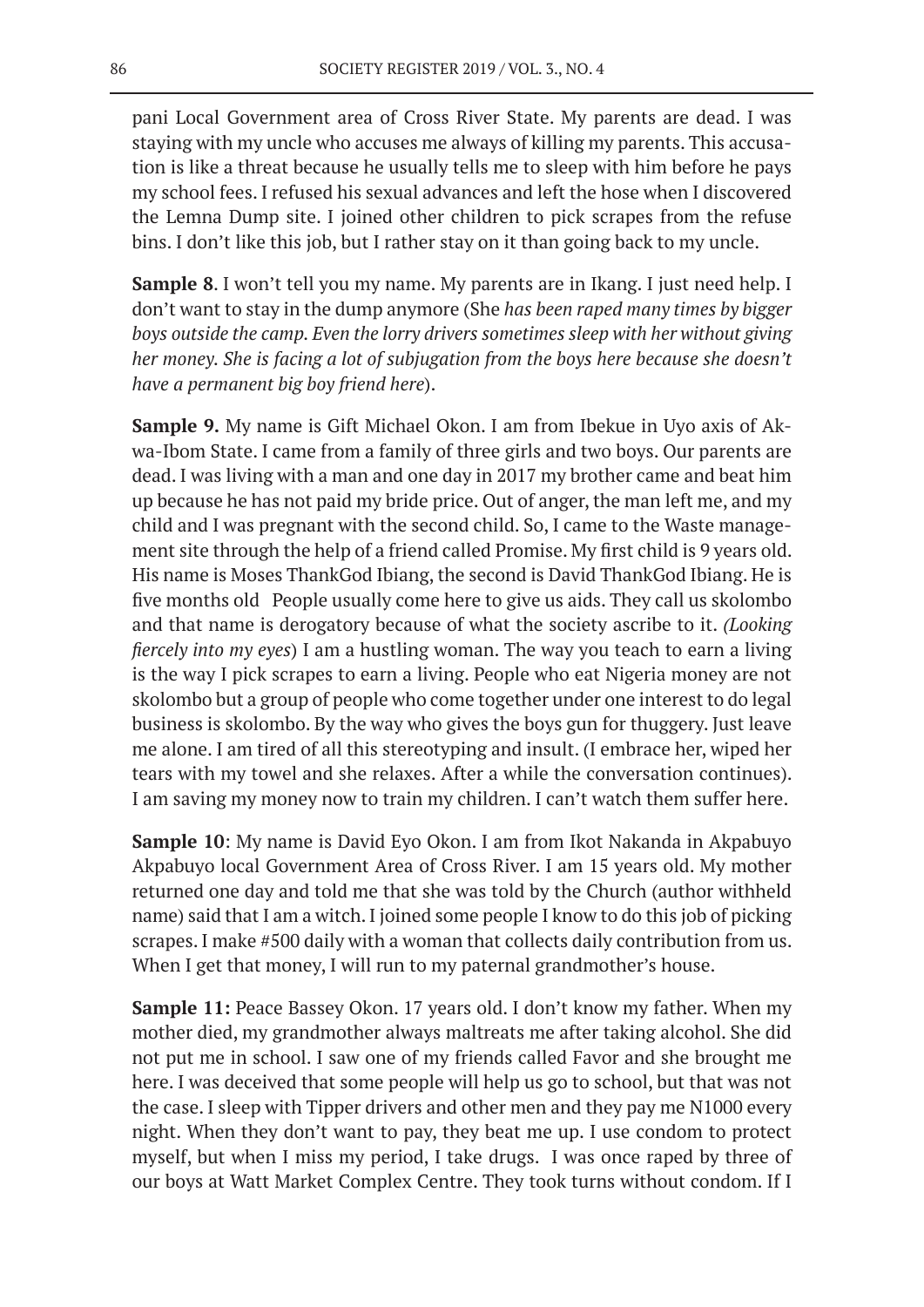pani Local Government area of Cross River State. My parents are dead. I was staying with my uncle who accuses me always of killing my parents. This accusation is like a threat because he usually tells me to sleep with him before he pays my school fees. I refused his sexual advances and left the hose when I discovered the Lemna Dump site. I joined other children to pick scrapes from the refuse bins. I don't like this job, but I rather stay on it than going back to my uncle.

**Sample 8**. I won't tell you my name. My parents are in Ikang. I just need help. I don't want to stay in the dump anymore (She *has been raped many times by bigger boys outside the camp. Even the lorry drivers sometimes sleep with her without giving her money. She is facing a lot of subjugation from the boys here because she doesn't have a permanent big boy friend here*).

**Sample 9.** My name is Gift Michael Okon. I am from Ibekue in Uyo axis of Akwa-Ibom State. I came from a family of three girls and two boys. Our parents are dead. I was living with a man and one day in 2017 my brother came and beat him up because he has not paid my bride price. Out of anger, the man left me, and my child and I was pregnant with the second child. So, I came to the Waste management site through the help of a friend called Promise. My first child is 9 years old. His name is Moses ThankGod Ibiang, the second is David ThankGod Ibiang. He is five months old People usually come here to give us aids. They call us skolombo and that name is derogatory because of what the society ascribe to it. *(Looking fiercely into my eyes*) I am a hustling woman. The way you teach to earn a living is the way I pick scrapes to earn a living. People who eat Nigeria money are not skolombo but a group of people who come together under one interest to do legal business is skolombo. By the way who gives the boys gun for thuggery. Just leave me alone. I am tired of all this stereotyping and insult. (I embrace her, wiped her tears with my towel and she relaxes. After a while the conversation continues). I am saving my money now to train my children. I can't watch them suffer here.

**Sample 10**: My name is David Eyo Okon. I am from Ikot Nakanda in Akpabuyo Akpabuyo local Government Area of Cross River. I am 15 years old. My mother returned one day and told me that she was told by the Church (author withheld name) said that I am a witch. I joined some people I know to do this job of picking scrapes. I make #500 daily with a woman that collects daily contribution from us. When I get that money, I will run to my paternal grandmother's house.

**Sample 11:** Peace Bassey Okon. 17 years old. I don't know my father. When my mother died, my grandmother always maltreats me after taking alcohol. She did not put me in school. I saw one of my friends called Favor and she brought me here. I was deceived that some people will help us go to school, but that was not the case. I sleep with Tipper drivers and other men and they pay me N1000 every night. When they don't want to pay, they beat me up. I use condom to protect myself, but when I miss my period, I take drugs. I was once raped by three of our boys at Watt Market Complex Centre. They took turns without condom. If I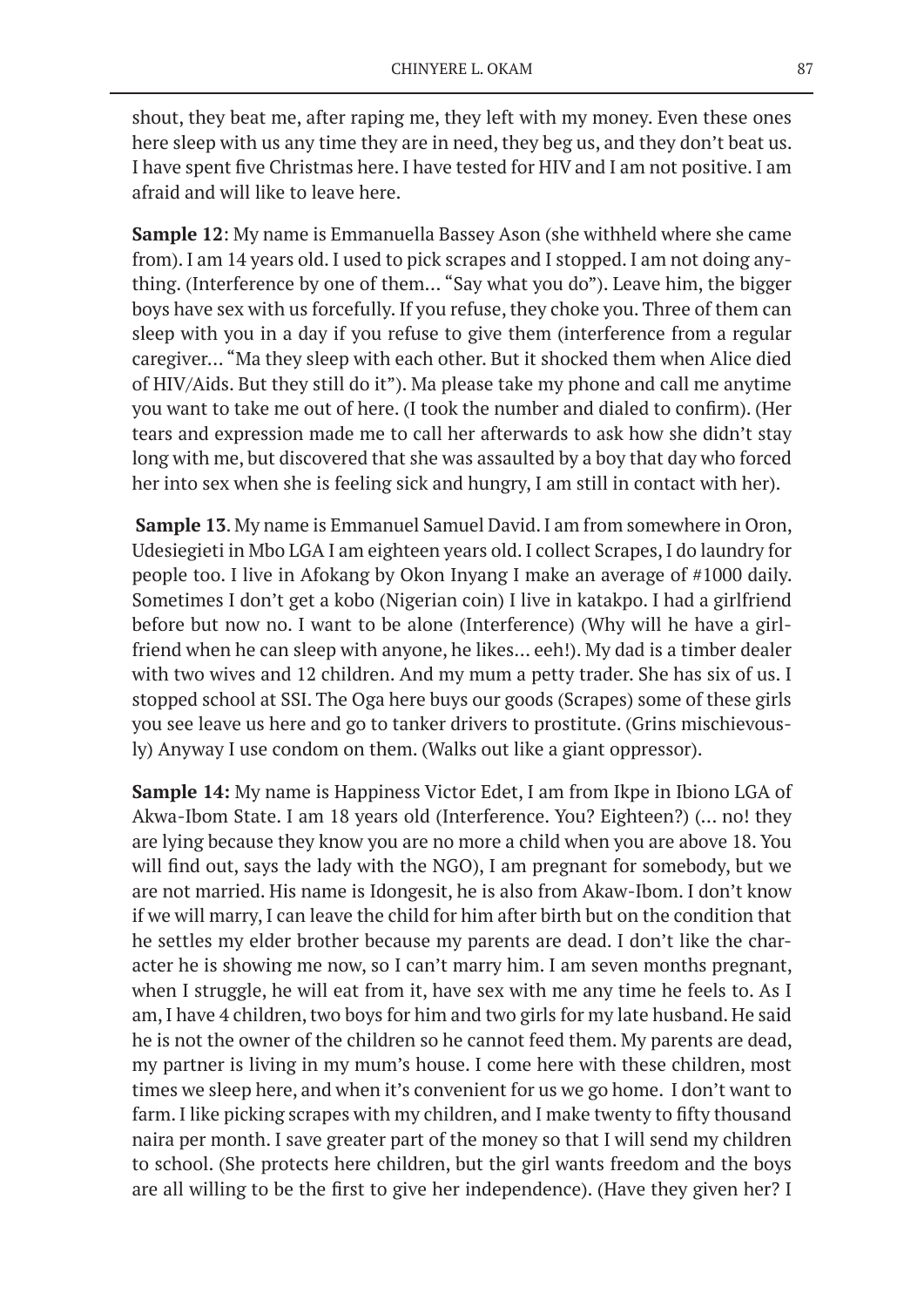shout, they beat me, after raping me, they left with my money. Even these ones here sleep with us any time they are in need, they beg us, and they don't beat us. I have spent five Christmas here. I have tested for HIV and I am not positive. I am afraid and will like to leave here.

**Sample 12**: My name is Emmanuella Bassey Ason (she withheld where she came from). I am 14 years old. I used to pick scrapes and I stopped. I am not doing anything. (Interference by one of them… "Say what you do"). Leave him, the bigger boys have sex with us forcefully. If you refuse, they choke you. Three of them can sleep with you in a day if you refuse to give them (interference from a regular caregiver… "Ma they sleep with each other. But it shocked them when Alice died of HIV/Aids. But they still do it"). Ma please take my phone and call me anytime you want to take me out of here. (I took the number and dialed to confirm). (Her tears and expression made me to call her afterwards to ask how she didn't stay long with me, but discovered that she was assaulted by a boy that day who forced her into sex when she is feeling sick and hungry, I am still in contact with her).

**Sample 13**. My name is Emmanuel Samuel David. I am from somewhere in Oron, Udesiegieti in Mbo LGA I am eighteen years old. I collect Scrapes, I do laundry for people too. I live in Afokang by Okon Inyang I make an average of #1000 daily. Sometimes I don't get a kobo (Nigerian coin) I live in katakpo. I had a girlfriend before but now no. I want to be alone (Interference) (Why will he have a girlfriend when he can sleep with anyone, he likes… eeh!). My dad is a timber dealer with two wives and 12 children. And my mum a petty trader. She has six of us. I stopped school at SSI. The Oga here buys our goods (Scrapes) some of these girls you see leave us here and go to tanker drivers to prostitute. (Grins mischievously) Anyway I use condom on them. (Walks out like a giant oppressor).

**Sample 14:** My name is Happiness Victor Edet, I am from Ikpe in Ibiono LGA of Akwa-Ibom State. I am 18 years old (Interference. You? Eighteen?) (… no! they are lying because they know you are no more a child when you are above 18. You will find out, says the lady with the NGO), I am pregnant for somebody, but we are not married. His name is Idongesit, he is also from Akaw-Ibom. I don't know if we will marry, I can leave the child for him after birth but on the condition that he settles my elder brother because my parents are dead. I don't like the character he is showing me now, so I can't marry him. I am seven months pregnant, when I struggle, he will eat from it, have sex with me any time he feels to. As I am, I have 4 children, two boys for him and two girls for my late husband. He said he is not the owner of the children so he cannot feed them. My parents are dead, my partner is living in my mum's house. I come here with these children, most times we sleep here, and when it's convenient for us we go home. I don't want to farm. I like picking scrapes with my children, and I make twenty to fifty thousand naira per month. I save greater part of the money so that I will send my children to school. (She protects here children, but the girl wants freedom and the boys are all willing to be the first to give her independence). (Have they given her? I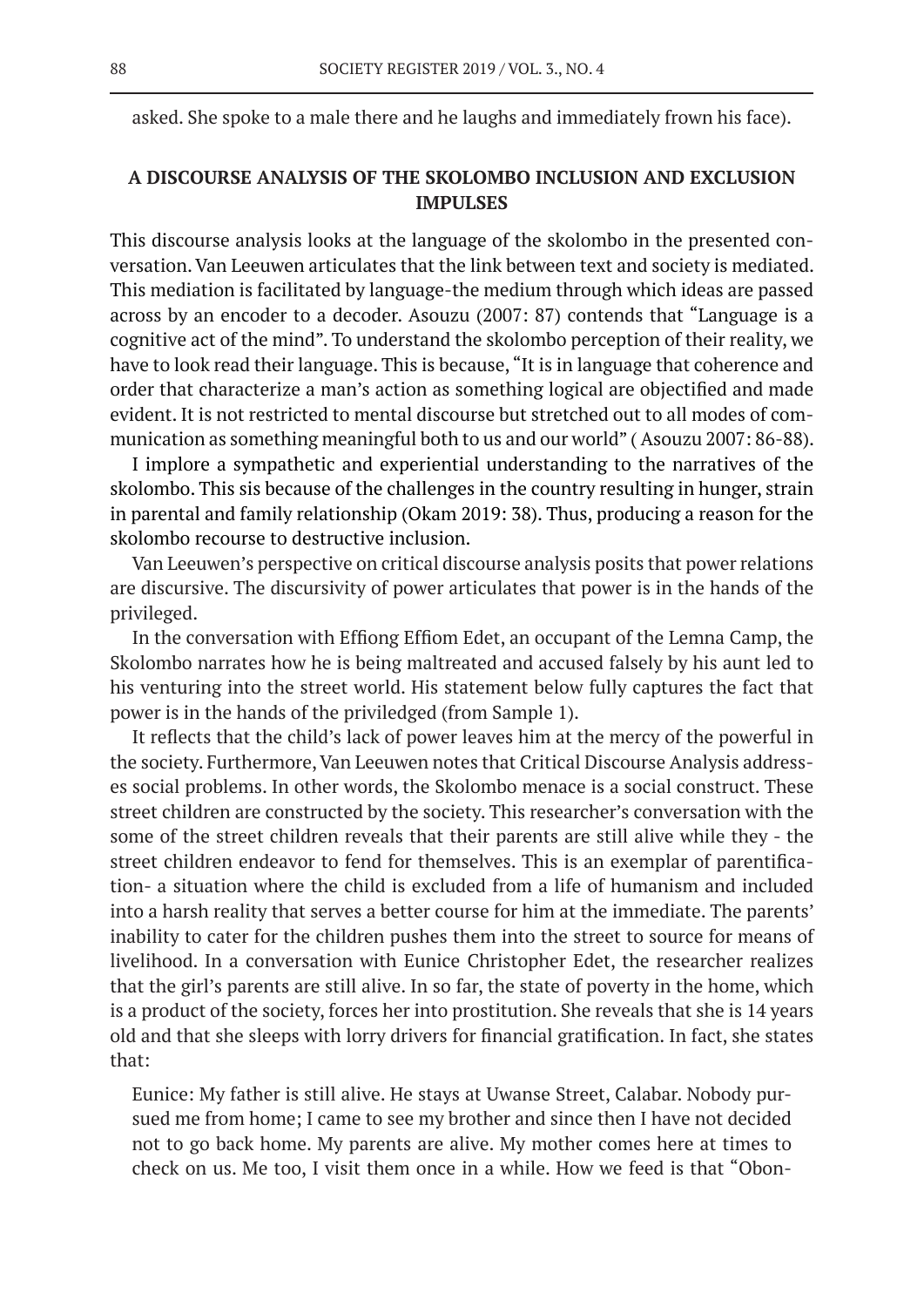asked. She spoke to a male there and he laughs and immediately frown his face).

# **A DISCOURSE ANALYSIS OF THE SKOLOMBO INCLUSION AND EXCLUSION IMPULSES**

This discourse analysis looks at the language of the skolombo in the presented conversation. Van Leeuwen articulates that the link between text and society is mediated. This mediation is facilitated by language-the medium through which ideas are passed across by an encoder to a decoder. Asouzu (2007: 87) contends that "Language is a cognitive act of the mind". To understand the skolombo perception of their reality, we have to look read their language. This is because, "It is in language that coherence and order that characterize a man's action as something logical are objectified and made evident. It is not restricted to mental discourse but stretched out to all modes of communication as something meaningful both to us and our world" ( Asouzu 2007: 86-88).

I implore a sympathetic and experiential understanding to the narratives of the skolombo. This sis because of the challenges in the country resulting in hunger, strain in parental and family relationship (Okam 2019: 38). Thus, producing a reason for the skolombo recourse to destructive inclusion.

Van Leeuwen's perspective on critical discourse analysis posits that power relations are discursive. The discursivity of power articulates that power is in the hands of the privileged.

In the conversation with Effiong Effiom Edet, an occupant of the Lemna Camp, the Skolombo narrates how he is being maltreated and accused falsely by his aunt led to his venturing into the street world. His statement below fully captures the fact that power is in the hands of the priviledged (from Sample 1).

It reflects that the child's lack of power leaves him at the mercy of the powerful in the society. Furthermore, Van Leeuwen notes that Critical Discourse Analysis addresses social problems. In other words, the Skolombo menace is a social construct. These street children are constructed by the society. This researcher's conversation with the some of the street children reveals that their parents are still alive while they - the street children endeavor to fend for themselves. This is an exemplar of parentification- a situation where the child is excluded from a life of humanism and included into a harsh reality that serves a better course for him at the immediate. The parents' inability to cater for the children pushes them into the street to source for means of livelihood. In a conversation with Eunice Christopher Edet, the researcher realizes that the girl's parents are still alive. In so far, the state of poverty in the home, which is a product of the society, forces her into prostitution. She reveals that she is 14 years old and that she sleeps with lorry drivers for financial gratification. In fact, she states that:

Eunice: My father is still alive. He stays at Uwanse Street, Calabar. Nobody pursued me from home; I came to see my brother and since then I have not decided not to go back home. My parents are alive. My mother comes here at times to check on us. Me too, I visit them once in a while. How we feed is that "Obon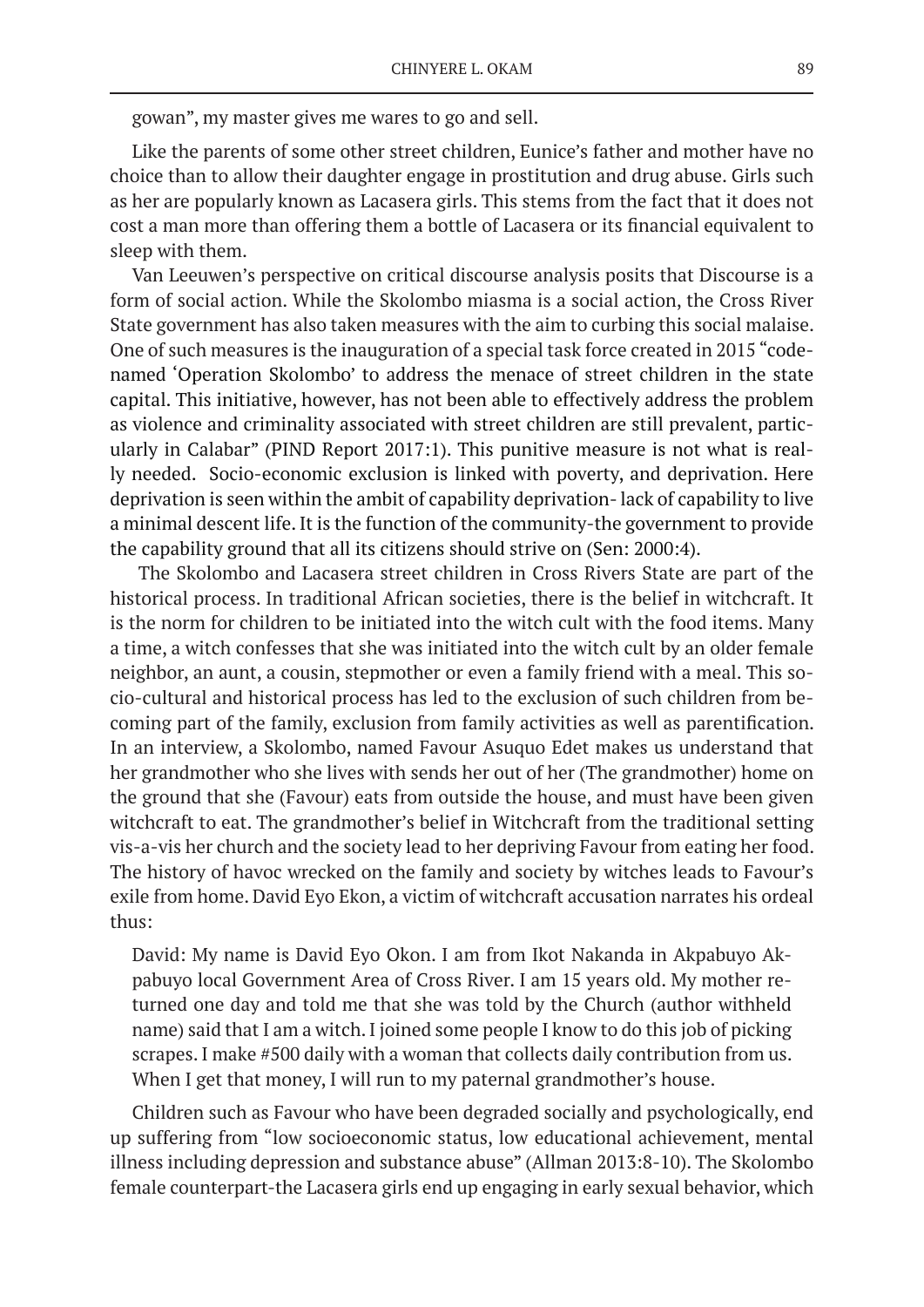gowan", my master gives me wares to go and sell.

Like the parents of some other street children, Eunice's father and mother have no choice than to allow their daughter engage in prostitution and drug abuse. Girls such as her are popularly known as Lacasera girls. This stems from the fact that it does not cost a man more than offering them a bottle of Lacasera or its financial equivalent to sleep with them.

Van Leeuwen's perspective on critical discourse analysis posits that Discourse is a form of social action. While the Skolombo miasma is a social action, the Cross River State government has also taken measures with the aim to curbing this social malaise. One of such measures is the inauguration of a special task force created in 2015 "codenamed 'Operation Skolombo' to address the menace of street children in the state capital. This initiative, however, has not been able to effectively address the problem as violence and criminality associated with street children are still prevalent, particularly in Calabar" (PIND Report 2017:1). This punitive measure is not what is really needed. Socio-economic exclusion is linked with poverty, and deprivation. Here deprivation is seen within the ambit of capability deprivation- lack of capability to live a minimal descent life. It is the function of the community-the government to provide the capability ground that all its citizens should strive on (Sen: 2000:4).

 The Skolombo and Lacasera street children in Cross Rivers State are part of the historical process. In traditional African societies, there is the belief in witchcraft. It is the norm for children to be initiated into the witch cult with the food items. Many a time, a witch confesses that she was initiated into the witch cult by an older female neighbor, an aunt, a cousin, stepmother or even a family friend with a meal. This socio-cultural and historical process has led to the exclusion of such children from becoming part of the family, exclusion from family activities as well as parentification. In an interview, a Skolombo, named Favour Asuquo Edet makes us understand that her grandmother who she lives with sends her out of her (The grandmother) home on the ground that she (Favour) eats from outside the house, and must have been given witchcraft to eat. The grandmother's belief in Witchcraft from the traditional setting vis-a-vis her church and the society lead to her depriving Favour from eating her food. The history of havoc wrecked on the family and society by witches leads to Favour's exile from home. David Eyo Ekon, a victim of witchcraft accusation narrates his ordeal thus:

David: My name is David Eyo Okon. I am from Ikot Nakanda in Akpabuyo Akpabuyo local Government Area of Cross River. I am 15 years old. My mother returned one day and told me that she was told by the Church (author withheld name) said that I am a witch. I joined some people I know to do this job of picking scrapes. I make #500 daily with a woman that collects daily contribution from us. When I get that money, I will run to my paternal grandmother's house.

Children such as Favour who have been degraded socially and psychologically, end up suffering from "low socioeconomic status, low educational achievement, mental illness including depression and substance abuse" (Allman 2013:8-10). The Skolombo female counterpart-the Lacasera girls end up engaging in early sexual behavior, which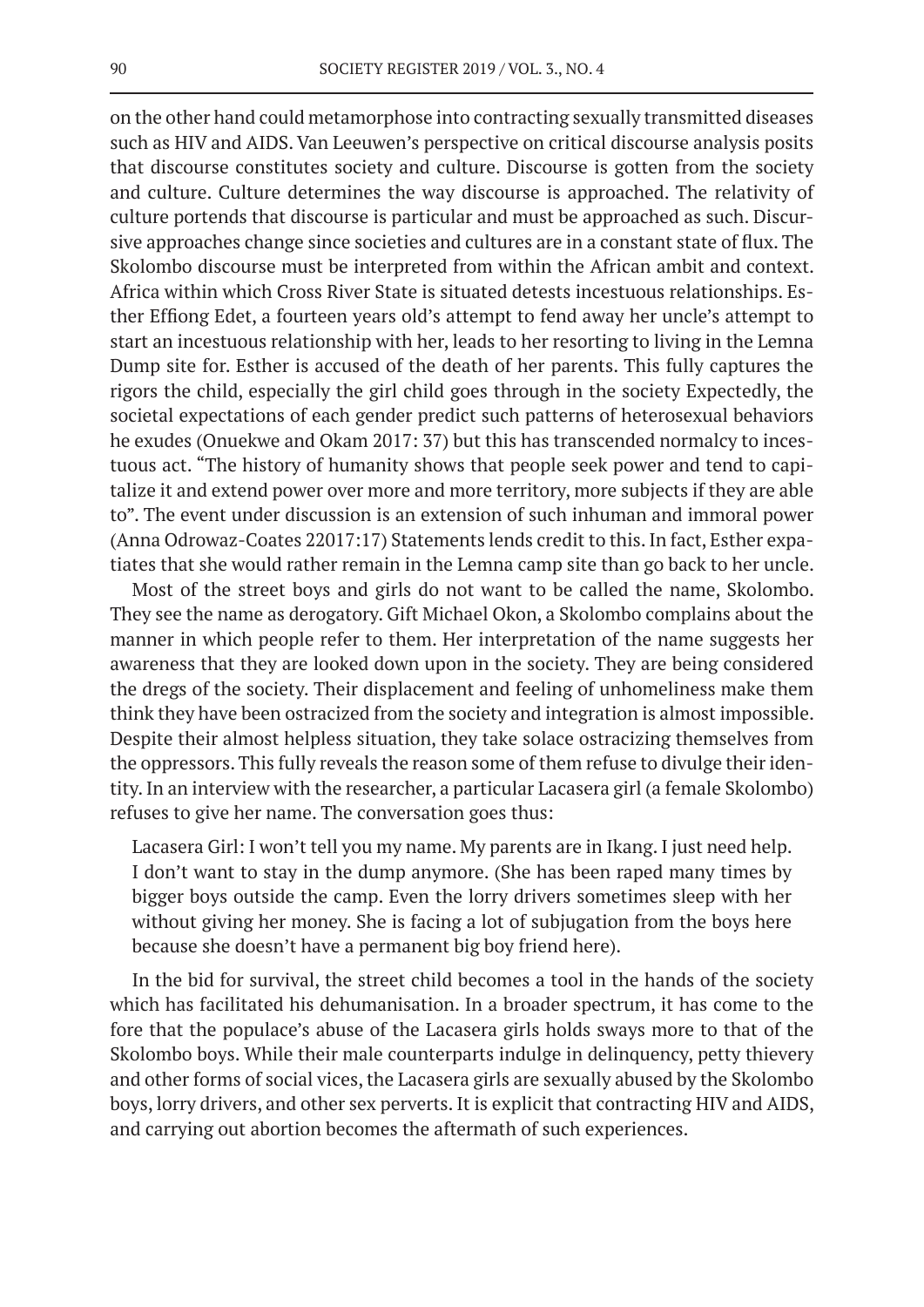on the other hand could metamorphose into contracting sexually transmitted diseases such as HIV and AIDS. Van Leeuwen's perspective on critical discourse analysis posits that discourse constitutes society and culture. Discourse is gotten from the society and culture. Culture determines the way discourse is approached. The relativity of culture portends that discourse is particular and must be approached as such. Discursive approaches change since societies and cultures are in a constant state of flux. The Skolombo discourse must be interpreted from within the African ambit and context. Africa within which Cross River State is situated detests incestuous relationships. Esther Effiong Edet, a fourteen years old's attempt to fend away her uncle's attempt to start an incestuous relationship with her, leads to her resorting to living in the Lemna Dump site for. Esther is accused of the death of her parents. This fully captures the rigors the child, especially the girl child goes through in the society Expectedly, the societal expectations of each gender predict such patterns of heterosexual behaviors he exudes (Onuekwe and Okam 2017: 37) but this has transcended normalcy to incestuous act. "The history of humanity shows that people seek power and tend to capitalize it and extend power over more and more territory, more subjects if they are able to". The event under discussion is an extension of such inhuman and immoral power (Anna Odrowaz-Coates 22017:17) Statements lends credit to this. In fact, Esther expatiates that she would rather remain in the Lemna camp site than go back to her uncle.

Most of the street boys and girls do not want to be called the name, Skolombo. They see the name as derogatory. Gift Michael Okon, a Skolombo complains about the manner in which people refer to them. Her interpretation of the name suggests her awareness that they are looked down upon in the society. They are being considered the dregs of the society. Their displacement and feeling of unhomeliness make them think they have been ostracized from the society and integration is almost impossible. Despite their almost helpless situation, they take solace ostracizing themselves from the oppressors. This fully reveals the reason some of them refuse to divulge their identity. In an interview with the researcher, a particular Lacasera girl (a female Skolombo) refuses to give her name. The conversation goes thus:

Lacasera Girl: I won't tell you my name. My parents are in Ikang. I just need help. I don't want to stay in the dump anymore. (She has been raped many times by bigger boys outside the camp. Even the lorry drivers sometimes sleep with her without giving her money. She is facing a lot of subjugation from the boys here because she doesn't have a permanent big boy friend here).

In the bid for survival, the street child becomes a tool in the hands of the society which has facilitated his dehumanisation. In a broader spectrum, it has come to the fore that the populace's abuse of the Lacasera girls holds sways more to that of the Skolombo boys. While their male counterparts indulge in delinquency, petty thievery and other forms of social vices, the Lacasera girls are sexually abused by the Skolombo boys, lorry drivers, and other sex perverts. It is explicit that contracting HIV and AIDS, and carrying out abortion becomes the aftermath of such experiences.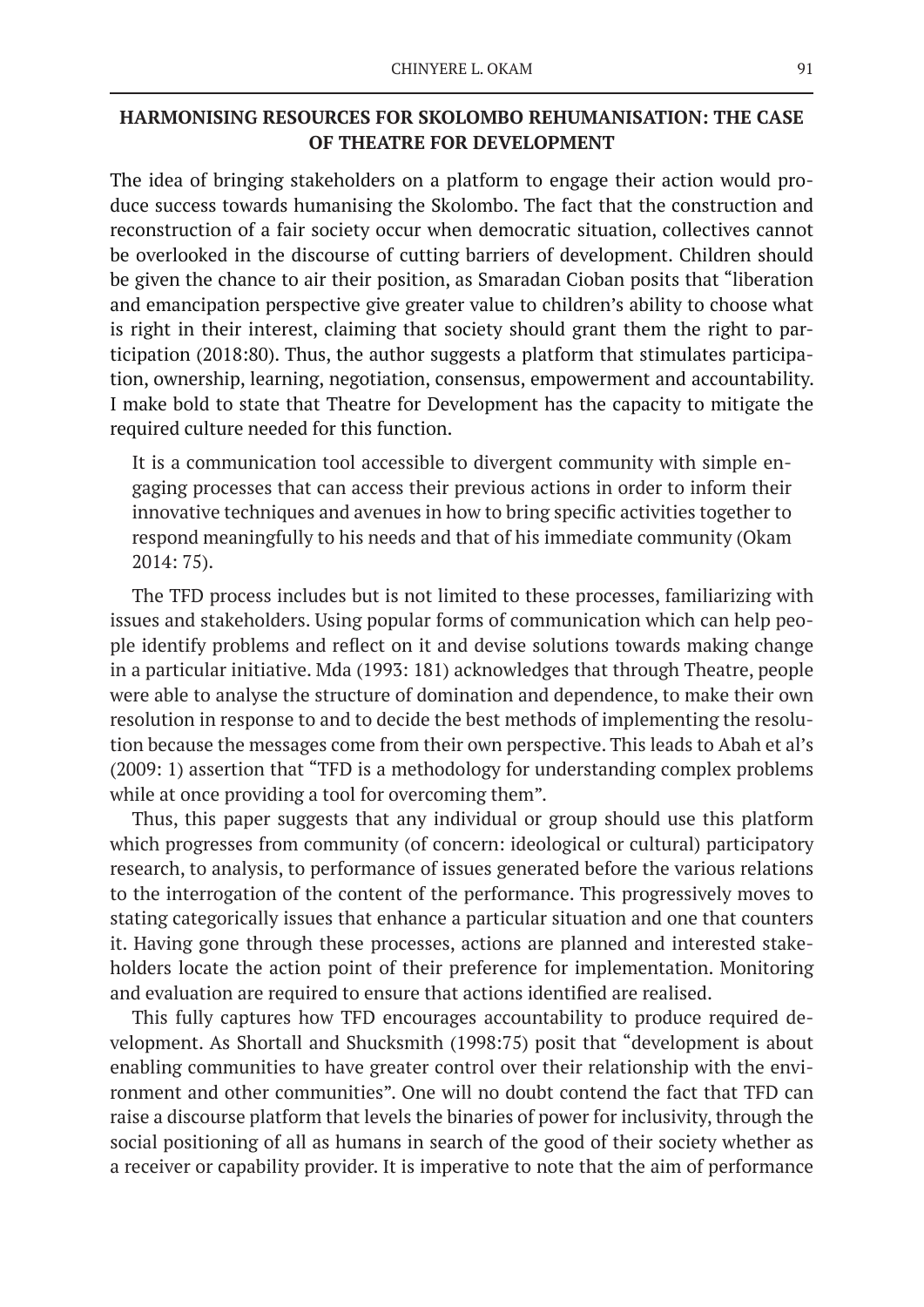# **HARMONISING RESOURCES FOR SKOLOMBO REHUMANISATION: THE CASE OF THEATRE FOR DEVELOPMENT**

The idea of bringing stakeholders on a platform to engage their action would produce success towards humanising the Skolombo. The fact that the construction and reconstruction of a fair society occur when democratic situation, collectives cannot be overlooked in the discourse of cutting barriers of development. Children should be given the chance to air their position, as Smaradan Cioban posits that "liberation and emancipation perspective give greater value to children's ability to choose what is right in their interest, claiming that society should grant them the right to participation (2018:80). Thus, the author suggests a platform that stimulates participation, ownership, learning, negotiation, consensus, empowerment and accountability. I make bold to state that Theatre for Development has the capacity to mitigate the required culture needed for this function.

It is a communication tool accessible to divergent community with simple engaging processes that can access their previous actions in order to inform their innovative techniques and avenues in how to bring specific activities together to respond meaningfully to his needs and that of his immediate community (Okam 2014: 75).

The TFD process includes but is not limited to these processes, familiarizing with issues and stakeholders. Using popular forms of communication which can help people identify problems and reflect on it and devise solutions towards making change in a particular initiative. Mda (1993: 181) acknowledges that through Theatre, people were able to analyse the structure of domination and dependence, to make their own resolution in response to and to decide the best methods of implementing the resolution because the messages come from their own perspective. This leads to Abah et al's (2009: 1) assertion that "TFD is a methodology for understanding complex problems while at once providing a tool for overcoming them".

Thus, this paper suggests that any individual or group should use this platform which progresses from community (of concern: ideological or cultural) participatory research, to analysis, to performance of issues generated before the various relations to the interrogation of the content of the performance. This progressively moves to stating categorically issues that enhance a particular situation and one that counters it. Having gone through these processes, actions are planned and interested stakeholders locate the action point of their preference for implementation. Monitoring and evaluation are required to ensure that actions identified are realised.

This fully captures how TFD encourages accountability to produce required development. As Shortall and Shucksmith (1998:75) posit that "development is about enabling communities to have greater control over their relationship with the environment and other communities". One will no doubt contend the fact that TFD can raise a discourse platform that levels the binaries of power for inclusivity, through the social positioning of all as humans in search of the good of their society whether as a receiver or capability provider. It is imperative to note that the aim of performance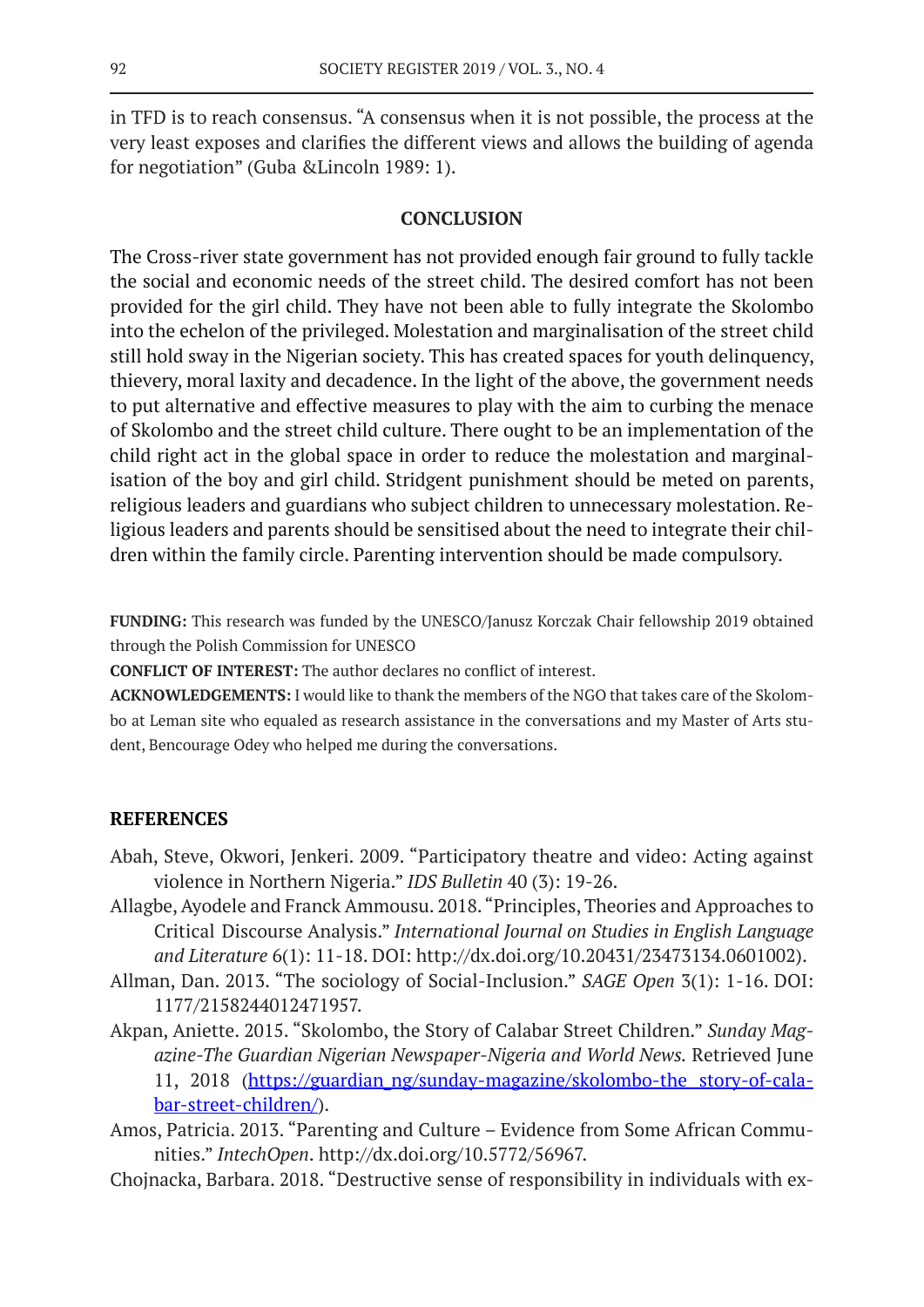in TFD is to reach consensus. "A consensus when it is not possible, the process at the very least exposes and clarifies the different views and allows the building of agenda for negotiation" (Guba &Lincoln 1989: 1).

### **CONCLUSION**

The Cross-river state government has not provided enough fair ground to fully tackle the social and economic needs of the street child. The desired comfort has not been provided for the girl child. They have not been able to fully integrate the Skolombo into the echelon of the privileged. Molestation and marginalisation of the street child still hold sway in the Nigerian society. This has created spaces for youth delinquency, thievery, moral laxity and decadence. In the light of the above, the government needs to put alternative and effective measures to play with the aim to curbing the menace of Skolombo and the street child culture. There ought to be an implementation of the child right act in the global space in order to reduce the molestation and marginalisation of the boy and girl child. Stridgent punishment should be meted on parents, religious leaders and guardians who subject children to unnecessary molestation. Religious leaders and parents should be sensitised about the need to integrate their children within the family circle. Parenting intervention should be made compulsory.

**FUNDING:** This research was funded by the UNESCO/Janusz Korczak Chair fellowship 2019 obtained through the Polish Commission for UNESCO

**CONFLICT OF INTEREST:** The author declares no conflict of interest.

**ACKNOWLEDGEMENTS:** I would like to thank the members of the NGO that takes care of the Skolombo at Leman site who equaled as research assistance in the conversations and my Master of Arts student, Bencourage Odey who helped me during the conversations.

### **REFERENCES**

- Abah, Steve, Okwori, Jenkeri. 2009. "Participatory theatre and video: Acting against violence in Northern Nigeria." *IDS Bulletin* 40 (3): 19-26.
- Allagbe, Ayodele and Franck Ammousu. 2018. "Principles, Theories and Approaches to Critical Discourse Analysis." *International Journal on Studies in English Language and Literature* 6(1): 11-18. DOI: http://dx.doi.org/10.20431/23473134.0601002).
- Allman, Dan. 2013. "The sociology of Social-Inclusion." *SAGE Open* 3(1): 1-16. DOI: 1177/2158244012471957.
- Akpan, Aniette. 2015. "Skolombo, the Story of Calabar Street Children." *Sunday Magazine-The Guardian Nigerian Newspaper-Nigeria and World News.* Retrieved June 11, 2018 (https://guardian\_ng/sunday-magazine/skolombo-the story-of-calabar-street-children/).
- Amos, Patricia. 2013. "Parenting and Culture Evidence from Some African Communities." *IntechOpen*. http://dx.doi.org/10.5772/56967.
- Chojnacka, Barbara. 2018. "Destructive sense of responsibility in individuals with ex-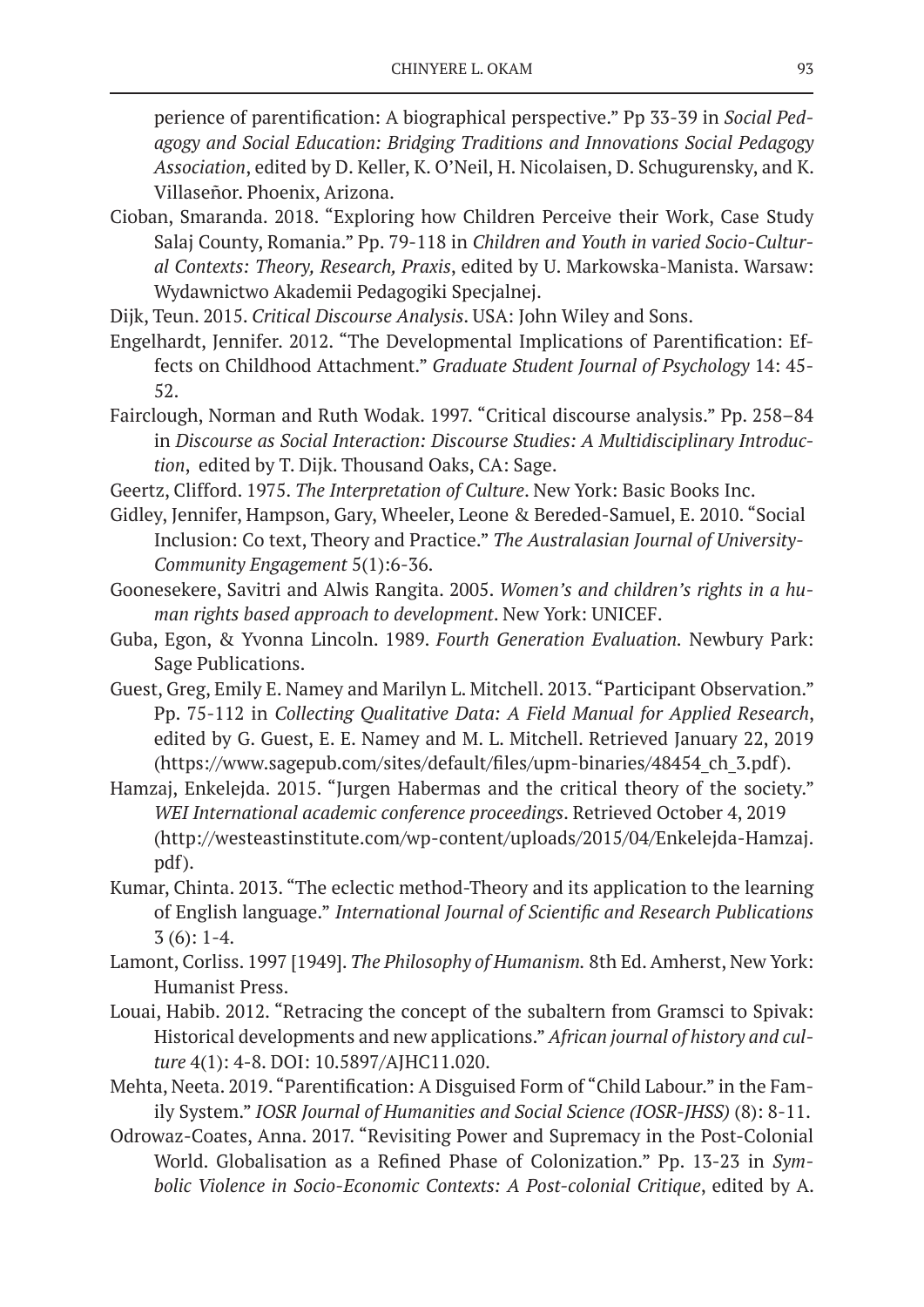perience of parentification: A biographical perspective." Pp 33-39 in *Social Pedagogy and Social Education: Bridging Traditions and Innovations Social Pedagogy Association*, edited by D. Keller, K. O'Neil, H. Nicolaisen, D. Schugurensky, and K. Villaseñor. Phoenix, Arizona.

- Cioban, Smaranda. 2018. "Exploring how Children Perceive their Work, Case Study Salaj County, Romania." Pp. 79-118 in *Children and Youth in varied Socio-Cultural Contexts: Theory, Research, Praxis*, edited by U. Markowska-Manista. Warsaw: Wydawnictwo Akademii Pedagogiki Specjalnej.
- Dijk, Teun. 2015. *Critical Discourse Analysis*. USA: John Wiley and Sons.
- Engelhardt, Jennifer. 2012. "The Developmental Implications of Parentification: Effects on Childhood Attachment." *Graduate Student Journal of Psychology* 14: 45- 52.
- Fairclough, Norman and Ruth Wodak. 1997. "Critical discourse analysis." Pp. 258–84 in *Discourse as Social Interaction: Discourse Studies: A Multidisciplinary Introduction*, edited by T. Dijk. Thousand Oaks, CA: Sage.
- Geertz, Clifford. 1975. *The Interpretation of Culture*. New York: Basic Books Inc.
- Gidley, Jennifer, Hampson, Gary, Wheeler, Leone & Bereded-Samuel, E. 2010. "Social Inclusion: Co text, Theory and Practice." *The Australasian Journal of University-Community Engagement* 5(1):6-36.
- Goonesekere, Savitri and Alwis Rangita. 2005. *Women's and children's rights in a human rights based approach to development*. New York: UNICEF.
- Guba, Egon, & Yvonna Lincoln. 1989. *Fourth Generation Evaluation.* Newbury Park: Sage Publications.
- Guest, Greg, Emily E. Namey and Marilyn L. Mitchell. 2013. "Participant Observation." Pp. 75-112 in *Collecting Qualitative Data: A Field Manual for Applied Research*, edited by G. Guest, E. E. Namey and M. L. Mitchell. Retrieved January 22, 2019 (https://www.sagepub.com/sites/default/files/upm-binaries/48454\_ch\_3.pdf).
- Hamzaj, Enkelejda. 2015. "Jurgen Habermas and the critical theory of the society." *WEI International academic conference proceedings*. Retrieved October 4, 2019 (http://westeastinstitute.com/wp-content/uploads/2015/04/Enkelejda-Hamzaj. pdf).
- Kumar, Chinta. 2013. "The eclectic method-Theory and its application to the learning of English language." *International Journal of Scientific and Research Publications*   $3(6): 1-4.$
- Lamont, Corliss. 1997 [1949]. *The Philosophy of Humanism.* 8th Ed. Amherst, New York: Humanist Press.
- Louai, Habib. 2012. "Retracing the concept of the subaltern from Gramsci to Spivak: Historical developments and new applications." *African journal of history and culture* 4(1): 4-8. DOI: 10.5897/AJHC11.020.
- Mehta, Neeta. 2019. "Parentification: A Disguised Form of "Child Labour." in the Family System." *IOSR Journal of Humanities and Social Science (IOSR-JHSS)* (8): 8-11.
- Odrowaz-Coates, Anna. 2017. "Revisiting Power and Supremacy in the Post-Colonial World. Globalisation as a Refined Phase of Colonization." Pp. 13-23 in *Symbolic Violence in Socio-Economic Contexts: A Post-colonial Critique*, edited by A.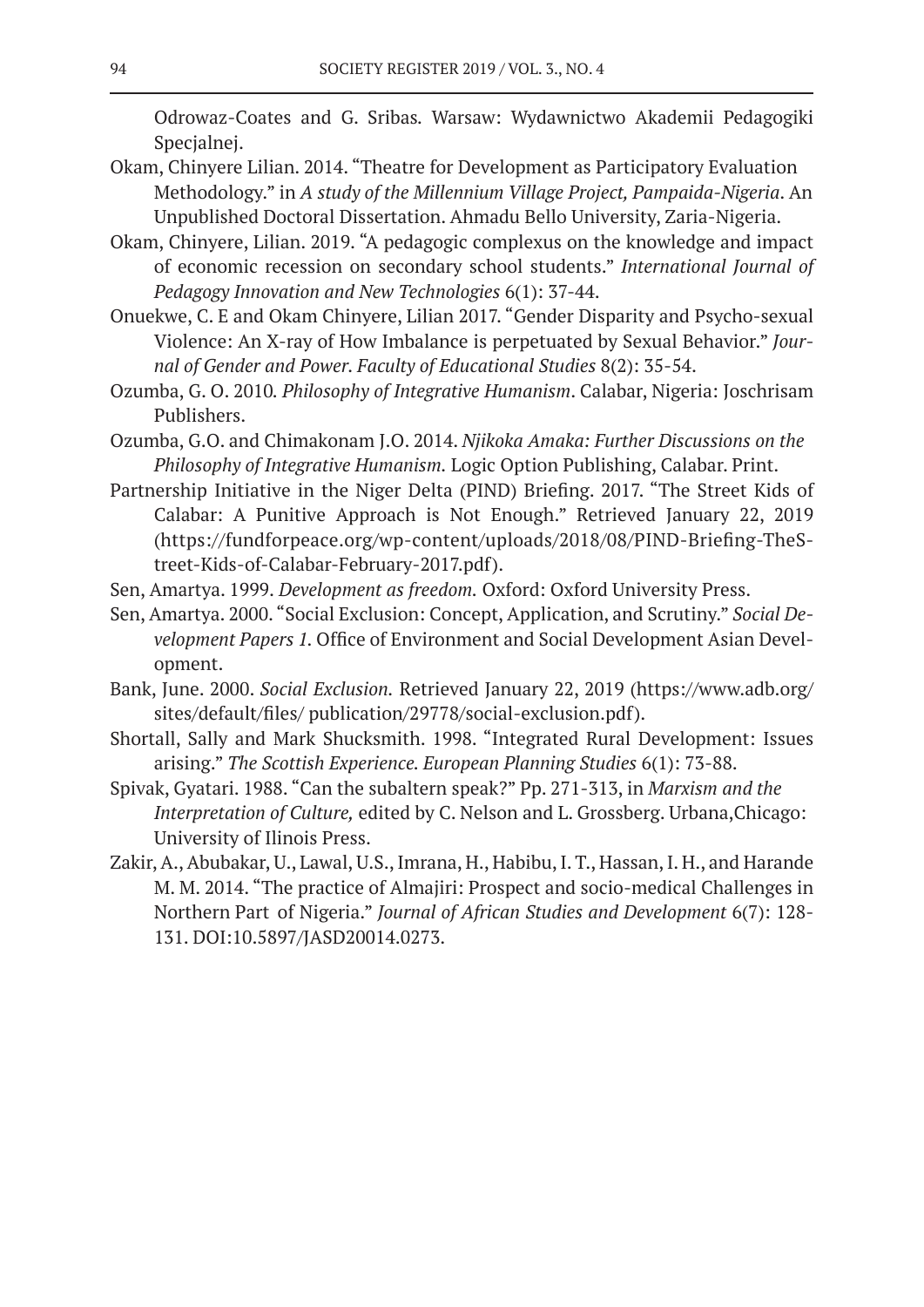Odrowaz-Coates and G. Sribas*.* Warsaw: Wydawnictwo Akademii Pedagogiki Specjalnej.

- Okam, Chinyere Lilian. 2014. "Theatre for Development as Participatory Evaluation Methodology." in *A study of the Millennium Village Project, Pampaida-Nigeria*. An Unpublished Doctoral Dissertation. Ahmadu Bello University, Zaria-Nigeria.
- Okam, Chinyere, Lilian. 2019. "A pedagogic complexus on the knowledge and impact of economic recession on secondary school students." *International Journal of Pedagogy Innovation and New Technologies* 6(1): 37-44.
- Onuekwe, C. E and Okam Chinyere, Lilian 2017. "Gender Disparity and Psycho-sexual Violence: An X-ray of How Imbalance is perpetuated by Sexual Behavior." *Journal of Gender and Power. Faculty of Educational Studies* 8(2): 35-54.
- Ozumba, G. O. 2010*. Philosophy of Integrative Humanism*. Calabar, Nigeria: Joschrisam Publishers.
- Ozumba, G.O. and Chimakonam J.O. 2014. *Njikoka Amaka: Further Discussions on the Philosophy of Integrative Humanism.* Logic Option Publishing, Calabar. Print.
- Partnership Initiative in the Niger Delta (PIND) Briefing. 2017. "The Street Kids of Calabar: A Punitive Approach is Not Enough." Retrieved January 22, 2019 (https://fundforpeace.org/wp-content/uploads/2018/08/PIND-Briefing-TheStreet-Kids-of-Calabar-February-2017.pdf).
- Sen, Amartya. 1999. *Development as freedom.* Oxford: Oxford University Press.
- Sen, Amartya. 2000. "Social Exclusion: Concept, Application, and Scrutiny." *Social Development Papers 1.* Office of Environment and Social Development Asian Development.
- Bank, June. 2000. *Social Exclusion.* Retrieved January 22, 2019 (https://www.adb.org/ sites/default/files/ publication/29778/social-exclusion.pdf).
- Shortall, Sally and Mark Shucksmith. 1998. "Integrated Rural Development: Issues arising." *The Scottish Experience. European Planning Studies* 6(1): 73-88.
- Spivak, Gyatari. 1988. "Can the subaltern speak?" Pp. 271-313, in *Marxism and the Interpretation of Culture,* edited by C. Nelson and L. Grossberg. Urbana,Chicago: University of Ilinois Press.
- Zakir, A., Abubakar, U., Lawal, U.S., Imrana, H., Habibu, I. T., Hassan, I. H., and Harande M. M. 2014. "The practice of Almajiri: Prospect and socio-medical Challenges in Northern Part of Nigeria." *Journal of African Studies and Development* 6(7): 128- 131. DOI:10.5897/JASD20014.0273.